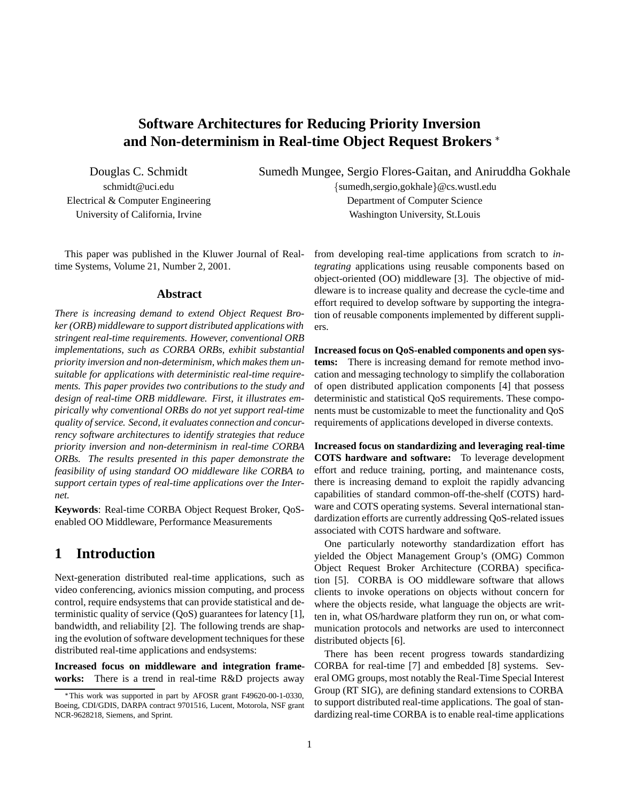# **Software Architectures for Reducing Priority Inversion and Non-determinism in Real-time Object Request Brokers**

University of California, Irvine Washington University, St.Louis

This paper was published in the Kluwer Journal of Realtime Systems, Volume 21, Number 2, 2001.

#### **Abstract**

*There is increasing demand to extend Object Request Broker (ORB) middleware to support distributed applications with stringent real-time requirements. However, conventional ORB implementations, such as CORBA ORBs, exhibit substantial priority inversion and non-determinism, which makes them unsuitable for applications with deterministic real-time requirements. This paper provides two contributions to the study and design of real-time ORB middleware. First, it illustrates empirically why conventional ORBs do not yet support real-time quality of service. Second, it evaluates connection and concurrency software architectures to identify strategies that reduce priority inversion and non-determinism in real-time CORBA ORBs. The results presented in this paper demonstrate the feasibility of using standard OO middleware like CORBA to support certain types of real-time applications over the Internet.*

**Keywords**: Real-time CORBA Object Request Broker, QoSenabled OO Middleware, Performance Measurements

# **1 Introduction**

Next-generation distributed real-time applications, such as video conferencing, avionics mission computing, and process control, require endsystems that can provide statistical and deterministic quality of service (QoS) guarantees for latency [1], bandwidth, and reliability [2]. The following trends are shaping the evolution of software development techniques for these distributed real-time applications and endsystems:

**Increased focus on middleware and integration frameworks:** There is a trend in real-time R&D projects away

Douglas C. Schmidt Sumedh Mungee, Sergio Flores-Gaitan, and Aniruddha Gokhale

schmidt@uci.edu fsumedh,sergio,gokhale}@cs.wustl.edu Electrical & Computer Engineering Department of Computer Science

> from developing real-time applications from scratch to *integrating* applications using reusable components based on object-oriented (OO) middleware [3]. The objective of middleware is to increase quality and decrease the cycle-time and effort required to develop software by supporting the integration of reusable components implemented by different suppliers.

> **Increased focus on QoS-enabled components and open systems:** There is increasing demand for remote method invocation and messaging technology to simplify the collaboration of open distributed application components [4] that possess deterministic and statistical QoS requirements. These components must be customizable to meet the functionality and QoS requirements of applications developed in diverse contexts.

> **Increased focus on standardizing and leveraging real-time COTS hardware and software:** To leverage development effort and reduce training, porting, and maintenance costs, there is increasing demand to exploit the rapidly advancing capabilities of standard common-off-the-shelf (COTS) hardware and COTS operating systems. Several international standardization efforts are currently addressing QoS-related issues associated with COTS hardware and software.

> One particularly noteworthy standardization effort has yielded the Object Management Group's (OMG) Common Object Request Broker Architecture (CORBA) specification [5]. CORBA is OO middleware software that allows clients to invoke operations on objects without concern for where the objects reside, what language the objects are written in, what OS/hardware platform they run on, or what communication protocols and networks are used to interconnect distributed objects [6].

> There has been recent progress towards standardizing CORBA for real-time [7] and embedded [8] systems. Several OMG groups, most notably the Real-Time Special Interest Group (RT SIG), are defining standard extensions to CORBA to support distributed real-time applications. The goal of standardizing real-time CORBA is to enable real-time applications

This work was supported in part by AFOSR grant F49620-00-1-0330, Boeing, CDI/GDIS, DARPA contract 9701516, Lucent, Motorola, NSF grant NCR-9628218, Siemens, and Sprint.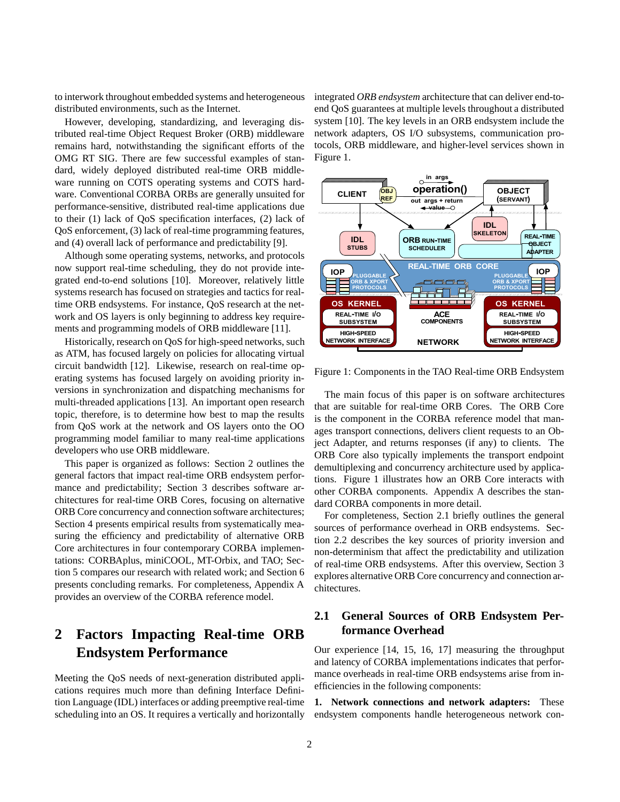to interwork throughout embedded systems and heterogeneous distributed environments, such as the Internet.

However, developing, standardizing, and leveraging distributed real-time Object Request Broker (ORB) middleware remains hard, notwithstanding the significant efforts of the OMG RT SIG. There are few successful examples of standard, widely deployed distributed real-time ORB middleware running on COTS operating systems and COTS hardware. Conventional CORBA ORBs are generally unsuited for performance-sensitive, distributed real-time applications due to their (1) lack of QoS specification interfaces, (2) lack of QoS enforcement, (3) lack of real-time programming features, and (4) overall lack of performance and predictability [9].

Although some operating systems, networks, and protocols now support real-time scheduling, they do not provide integrated end-to-end solutions [10]. Moreover, relatively little systems research has focused on strategies and tactics for realtime ORB endsystems. For instance, QoS research at the network and OS layers is only beginning to address key requirements and programming models of ORB middleware [11].

Historically, research on QoS for high-speed networks, such as ATM, has focused largely on policies for allocating virtual circuit bandwidth [12]. Likewise, research on real-time operating systems has focused largely on avoiding priority inversions in synchronization and dispatching mechanisms for multi-threaded applications [13]. An important open research topic, therefore, is to determine how best to map the results from QoS work at the network and OS layers onto the OO programming model familiar to many real-time applications developers who use ORB middleware.

This paper is organized as follows: Section 2 outlines the general factors that impact real-time ORB endsystem performance and predictability; Section 3 describes software architectures for real-time ORB Cores, focusing on alternative ORB Core concurrency and connection software architectures; Section 4 presents empirical results from systematically measuring the efficiency and predictability of alternative ORB Core architectures in four contemporary CORBA implementations: CORBAplus, miniCOOL, MT-Orbix, and TAO; Section 5 compares our research with related work; and Section 6 presents concluding remarks. For completeness, Appendix A provides an overview of the CORBA reference model.

# **2 Factors Impacting Real-time ORB Endsystem Performance**

Meeting the QoS needs of next-generation distributed applications requires much more than defining Interface Definition Language (IDL) interfaces or adding preemptive real-time scheduling into an OS. It requires a vertically and horizontally integrated *ORB endsystem* architecture that can deliver end-toend QoS guarantees at multiple levels throughout a distributed system [10]. The key levels in an ORB endsystem include the network adapters, OS I/O subsystems, communication protocols, ORB middleware, and higher-level services shown in Figure 1.



Figure 1: Components in the TAO Real-time ORB Endsystem

The main focus of this paper is on software architectures that are suitable for real-time ORB Cores. The ORB Core is the component in the CORBA reference model that manages transport connections, delivers client requests to an Object Adapter, and returns responses (if any) to clients. The ORB Core also typically implements the transport endpoint demultiplexing and concurrency architecture used by applications. Figure 1 illustrates how an ORB Core interacts with other CORBA components. Appendix A describes the standard CORBA components in more detail.

For completeness, Section 2.1 briefly outlines the general sources of performance overhead in ORB endsystems. Section 2.2 describes the key sources of priority inversion and non-determinism that affect the predictability and utilization of real-time ORB endsystems. After this overview, Section 3 explores alternative ORB Core concurrency and connection architectures.

# **2.1 General Sources of ORB Endsystem Performance Overhead**

Our experience [14, 15, 16, 17] measuring the throughput and latency of CORBA implementations indicates that performance overheads in real-time ORB endsystems arise from inefficiencies in the following components:

**1. Network connections and network adapters:** These endsystem components handle heterogeneous network con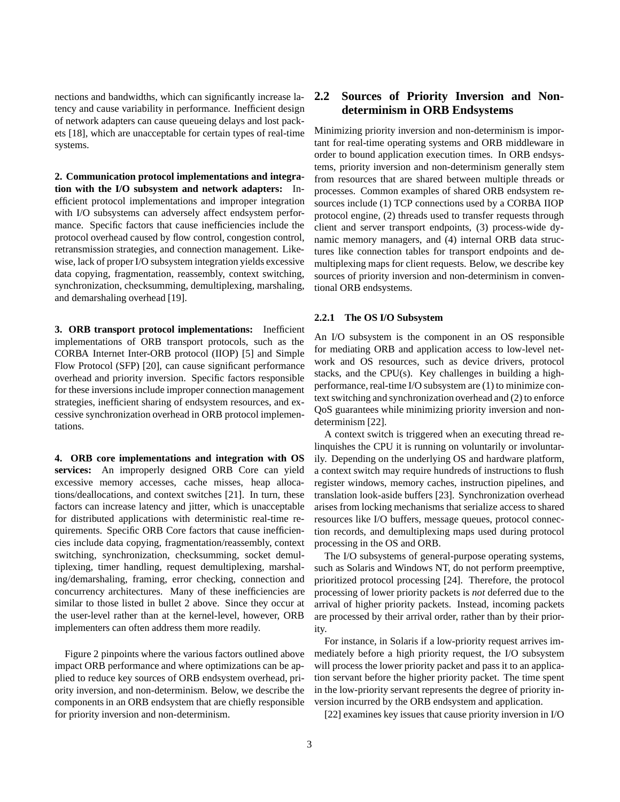nections and bandwidths, which can significantly increase latency and cause variability in performance. Inefficient design of network adapters can cause queueing delays and lost packets [18], which are unacceptable for certain types of real-time systems.

**2. Communication protocol implementations and integration with the I/O subsystem and network adapters:** Inefficient protocol implementations and improper integration with I/O subsystems can adversely affect endsystem performance. Specific factors that cause inefficiencies include the protocol overhead caused by flow control, congestion control, retransmission strategies, and connection management. Likewise, lack of proper I/O subsystem integration yields excessive data copying, fragmentation, reassembly, context switching, synchronization, checksumming, demultiplexing, marshaling, and demarshaling overhead [19].

**3. ORB transport protocol implementations:** Inefficient implementations of ORB transport protocols, such as the CORBA Internet Inter-ORB protocol (IIOP) [5] and Simple Flow Protocol (SFP) [20], can cause significant performance overhead and priority inversion. Specific factors responsible for these inversions include improper connection management strategies, inefficient sharing of endsystem resources, and excessive synchronization overhead in ORB protocol implementations.

**4. ORB core implementations and integration with OS services:** An improperly designed ORB Core can yield excessive memory accesses, cache misses, heap allocations/deallocations, and context switches [21]. In turn, these factors can increase latency and jitter, which is unacceptable for distributed applications with deterministic real-time requirements. Specific ORB Core factors that cause inefficiencies include data copying, fragmentation/reassembly, context switching, synchronization, checksumming, socket demultiplexing, timer handling, request demultiplexing, marshaling/demarshaling, framing, error checking, connection and concurrency architectures. Many of these inefficiencies are similar to those listed in bullet 2 above. Since they occur at the user-level rather than at the kernel-level, however, ORB implementers can often address them more readily.

Figure 2 pinpoints where the various factors outlined above impact ORB performance and where optimizations can be applied to reduce key sources of ORB endsystem overhead, priority inversion, and non-determinism. Below, we describe the components in an ORB endsystem that are chiefly responsible for priority inversion and non-determinism.

## **2.2 Sources of Priority Inversion and Nondeterminism in ORB Endsystems**

Minimizing priority inversion and non-determinism is important for real-time operating systems and ORB middleware in order to bound application execution times. In ORB endsystems, priority inversion and non-determinism generally stem from resources that are shared between multiple threads or processes. Common examples of shared ORB endsystem resources include (1) TCP connections used by a CORBA IIOP protocol engine, (2) threads used to transfer requests through client and server transport endpoints, (3) process-wide dynamic memory managers, and (4) internal ORB data structures like connection tables for transport endpoints and demultiplexing maps for client requests. Below, we describe key sources of priority inversion and non-determinism in conventional ORB endsystems.

### **2.2.1 The OS I/O Subsystem**

An I/O subsystem is the component in an OS responsible for mediating ORB and application access to low-level network and OS resources, such as device drivers, protocol stacks, and the CPU(s). Key challenges in building a highperformance, real-time I/O subsystem are (1) to minimize context switching and synchronization overhead and (2) to enforce QoS guarantees while minimizing priority inversion and nondeterminism [22].

A context switch is triggered when an executing thread relinquishes the CPU it is running on voluntarily or involuntarily. Depending on the underlying OS and hardware platform, a context switch may require hundreds of instructions to flush register windows, memory caches, instruction pipelines, and translation look-aside buffers [23]. Synchronization overhead arises from locking mechanisms that serialize access to shared resources like I/O buffers, message queues, protocol connection records, and demultiplexing maps used during protocol processing in the OS and ORB.

The I/O subsystems of general-purpose operating systems, such as Solaris and Windows NT, do not perform preemptive, prioritized protocol processing [24]. Therefore, the protocol processing of lower priority packets is *not* deferred due to the arrival of higher priority packets. Instead, incoming packets are processed by their arrival order, rather than by their priority.

For instance, in Solaris if a low-priority request arrives immediately before a high priority request, the I/O subsystem will process the lower priority packet and pass it to an application servant before the higher priority packet. The time spent in the low-priority servant represents the degree of priority inversion incurred by the ORB endsystem and application.

[22] examines key issues that cause priority inversion in I/O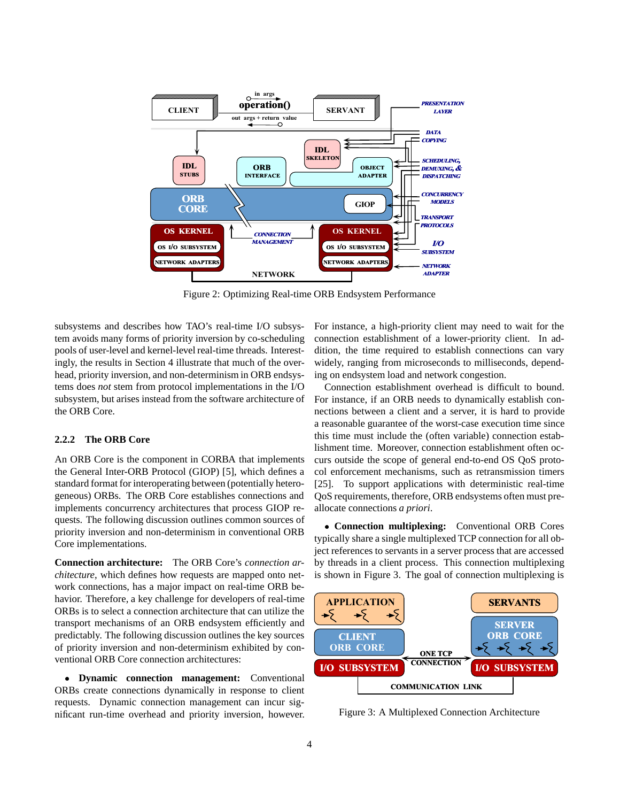

Figure 2: Optimizing Real-time ORB Endsystem Performance

subsystems and describes how TAO's real-time I/O subsystem avoids many forms of priority inversion by co-scheduling pools of user-level and kernel-level real-time threads. Interestingly, the results in Section 4 illustrate that much of the overhead, priority inversion, and non-determinism in ORB endsystems does *not* stem from protocol implementations in the I/O subsystem, but arises instead from the software architecture of the ORB Core.

### **2.2.2 The ORB Core**

An ORB Core is the component in CORBA that implements the General Inter-ORB Protocol (GIOP) [5], which defines a standard format for interoperating between (potentially heterogeneous) ORBs. The ORB Core establishes connections and implements concurrency architectures that process GIOP requests. The following discussion outlines common sources of priority inversion and non-determinism in conventional ORB Core implementations.

**Connection architecture:** The ORB Core's *connection architecture*, which defines how requests are mapped onto network connections, has a major impact on real-time ORB behavior. Therefore, a key challenge for developers of real-time ORBs is to select a connection architecture that can utilize the transport mechanisms of an ORB endsystem efficiently and predictably. The following discussion outlines the key sources of priority inversion and non-determinism exhibited by conventional ORB Core connection architectures:

 **Dynamic connection management:** Conventional ORBs create connections dynamically in response to client requests. Dynamic connection management can incur significant run-time overhead and priority inversion, however. For instance, a high-priority client may need to wait for the connection establishment of a lower-priority client. In addition, the time required to establish connections can vary widely, ranging from microseconds to milliseconds, depending on endsystem load and network congestion.

Connection establishment overhead is difficult to bound. For instance, if an ORB needs to dynamically establish connections between a client and a server, it is hard to provide a reasonable guarantee of the worst-case execution time since this time must include the (often variable) connection establishment time. Moreover, connection establishment often occurs outside the scope of general end-to-end OS QoS protocol enforcement mechanisms, such as retransmission timers [25]. To support applications with deterministic real-time QoS requirements, therefore, ORB endsystems often must preallocate connections *a priori*.

 **Connection multiplexing:** Conventional ORB Cores typically share a single multiplexed TCP connection for all object references to servants in a server process that are accessed by threads in a client process. This connection multiplexing is shown in Figure 3. The goal of connection multiplexing is



Figure 3: A Multiplexed Connection Architecture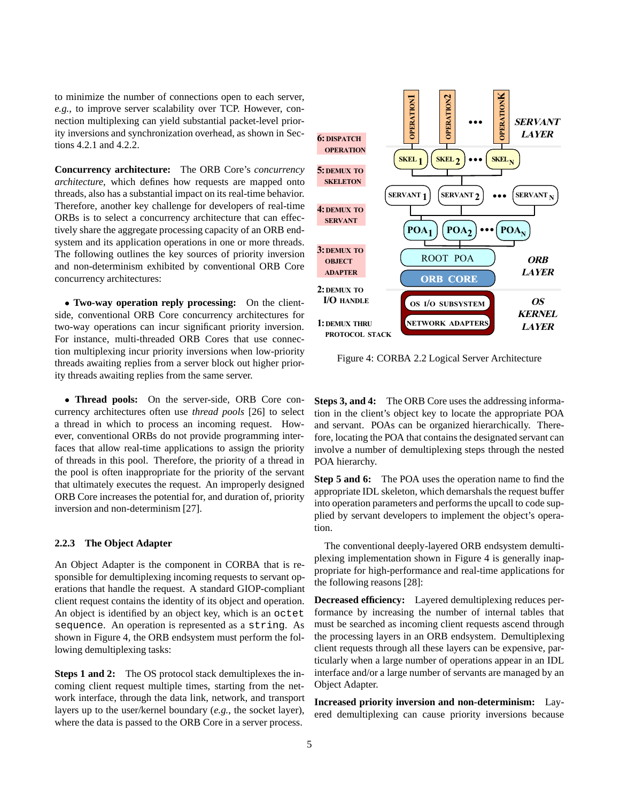to minimize the number of connections open to each server, *e.g.*, to improve server scalability over TCP. However, connection multiplexing can yield substantial packet-level priority inversions and synchronization overhead, as shown in Sections 4.2.1 and 4.2.2.

**Concurrency architecture:** The ORB Core's *concurrency architecture*, which defines how requests are mapped onto threads, also has a substantial impact on its real-time behavior. Therefore, another key challenge for developers of real-time ORBs is to select a concurrency architecture that can effectively share the aggregate processing capacity of an ORB endsystem and its application operations in one or more threads. The following outlines the key sources of priority inversion and non-determinism exhibited by conventional ORB Core concurrency architectures:

 **Two-way operation reply processing:** On the clientside, conventional ORB Core concurrency architectures for two-way operations can incur significant priority inversion. For instance, multi-threaded ORB Cores that use connection multiplexing incur priority inversions when low-priority threads awaiting replies from a server block out higher priority threads awaiting replies from the same server.

 **Thread pools:** On the server-side, ORB Core concurrency architectures often use *thread pools* [26] to select a thread in which to process an incoming request. However, conventional ORBs do not provide programming interfaces that allow real-time applications to assign the priority of threads in this pool. Therefore, the priority of a thread in the pool is often inappropriate for the priority of the servant that ultimately executes the request. An improperly designed ORB Core increases the potential for, and duration of, priority inversion and non-determinism [27].

### **2.2.3 The Object Adapter**

An Object Adapter is the component in CORBA that is responsible for demultiplexing incoming requests to servant operations that handle the request. A standard GIOP-compliant client request contains the identity of its object and operation. An object is identified by an object key, which is an octet sequence. An operation is represented as a string. As shown in Figure 4, the ORB endsystem must perform the following demultiplexing tasks:

**Steps 1 and 2:** The OS protocol stack demultiplexes the incoming client request multiple times, starting from the network interface, through the data link, network, and transport layers up to the user/kernel boundary (*e.g.*, the socket layer), where the data is passed to the ORB Core in a server process.



Figure 4: CORBA 2.2 Logical Server Architecture

**Steps 3, and 4:** The ORB Core uses the addressing information in the client's object key to locate the appropriate POA and servant. POAs can be organized hierarchically. Therefore, locating the POA that contains the designated servant can involve a number of demultiplexing steps through the nested POA hierarchy.

**Step 5 and 6:** The POA uses the operation name to find the appropriate IDL skeleton, which demarshals the request buffer into operation parameters and performs the upcall to code supplied by servant developers to implement the object's operation.

The conventional deeply-layered ORB endsystem demultiplexing implementation shown in Figure 4 is generally inappropriate for high-performance and real-time applications for the following reasons [28]:

**Decreased efficiency:** Layered demultiplexing reduces performance by increasing the number of internal tables that must be searched as incoming client requests ascend through the processing layers in an ORB endsystem. Demultiplexing client requests through all these layers can be expensive, particularly when a large number of operations appear in an IDL interface and/or a large number of servants are managed by an Object Adapter.

**Increased priority inversion and non-determinism:** Layered demultiplexing can cause priority inversions because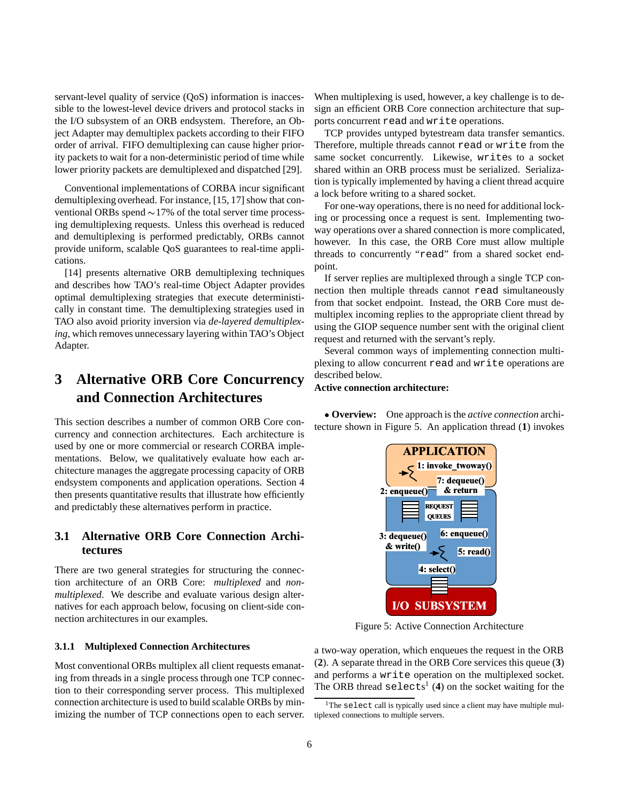servant-level quality of service (QoS) information is inaccessible to the lowest-level device drivers and protocol stacks in the I/O subsystem of an ORB endsystem. Therefore, an Object Adapter may demultiplex packets according to their FIFO order of arrival. FIFO demultiplexing can cause higher priority packets to wait for a non-deterministic period of time while lower priority packets are demultiplexed and dispatched [29].

Conventional implementations of CORBA incur significant demultiplexing overhead. For instance, [15, 17] show that conventional ORBs spend  $\sim$ 17% of the total server time processing demultiplexing requests. Unless this overhead is reduced and demultiplexing is performed predictably, ORBs cannot provide uniform, scalable QoS guarantees to real-time applications.

[14] presents alternative ORB demultiplexing techniques and describes how TAO's real-time Object Adapter provides optimal demultiplexing strategies that execute deterministically in constant time. The demultiplexing strategies used in TAO also avoid priority inversion via *de-layered demultiplexing*, which removes unnecessary layering within TAO's Object Adapter.

# **3 Alternative ORB Core Concurrency and Connection Architectures**

This section describes a number of common ORB Core concurrency and connection architectures. Each architecture is used by one or more commercial or research CORBA implementations. Below, we qualitatively evaluate how each architecture manages the aggregate processing capacity of ORB endsystem components and application operations. Section 4 then presents quantitative results that illustrate how efficiently and predictably these alternatives perform in practice.

# **3.1 Alternative ORB Core Connection Architectures**

There are two general strategies for structuring the connection architecture of an ORB Core: *multiplexed* and *nonmultiplexed*. We describe and evaluate various design alternatives for each approach below, focusing on client-side connection architectures in our examples.

### **3.1.1 Multiplexed Connection Architectures**

Most conventional ORBs multiplex all client requests emanating from threads in a single process through one TCP connection to their corresponding server process. This multiplexed connection architecture is used to build scalable ORBs by minimizing the number of TCP connections open to each server. When multiplexing is used, however, a key challenge is to design an efficient ORB Core connection architecture that supports concurrent read and write operations.

TCP provides untyped bytestream data transfer semantics. Therefore, multiple threads cannot read or write from the same socket concurrently. Likewise, writes to a socket shared within an ORB process must be serialized. Serialization is typically implemented by having a client thread acquire a lock before writing to a shared socket.

For one-way operations, there is no need for additional locking or processing once a request is sent. Implementing twoway operations over a shared connection is more complicated, however. In this case, the ORB Core must allow multiple threads to concurrently "read" from a shared socket endpoint.

If server replies are multiplexed through a single TCP connection then multiple threads cannot read simultaneously from that socket endpoint. Instead, the ORB Core must demultiplex incoming replies to the appropriate client thread by using the GIOP sequence number sent with the original client request and returned with the servant's reply.

Several common ways of implementing connection multiplexing to allow concurrent read and write operations are described below.

### **Active connection architecture:**

 **Overview:** One approach is the *active connection* architecture shown in Figure 5. An application thread (**1**) invokes



Figure 5: Active Connection Architecture

a two-way operation, which enqueues the request in the ORB (**2**). A separate thread in the ORB Core services this queue (**3**) and performs a write operation on the multiplexed socket. The ORB thread  $\text{selects}^1$  (4) on the socket waiting for the

<sup>&</sup>lt;sup>1</sup>The select call is typically used since a client may have multiple multiplexed connections to multiple servers.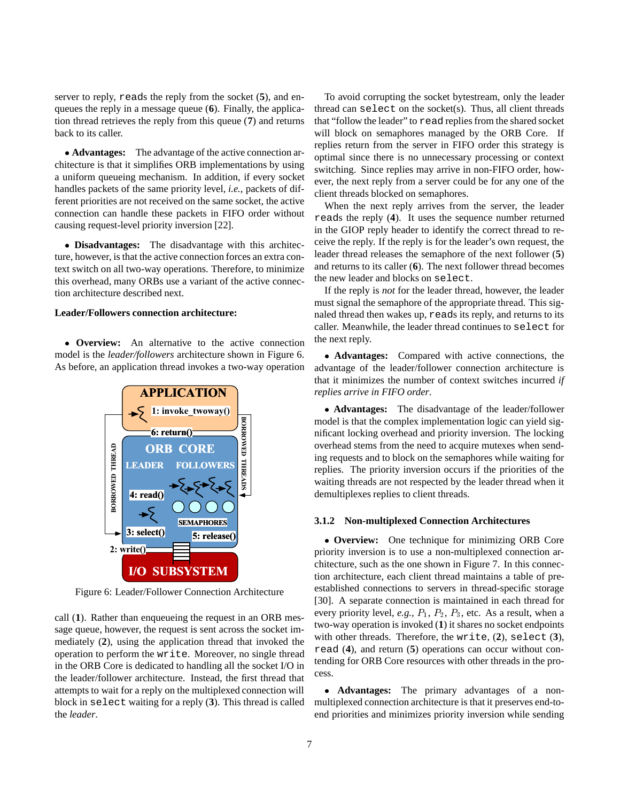server to reply, reads the reply from the socket (**5**), and enqueues the reply in a message queue (**6**). Finally, the application thread retrieves the reply from this queue (**7**) and returns back to its caller.

 **Advantages:** The advantage of the active connection architecture is that it simplifies ORB implementations by using a uniform queueing mechanism. In addition, if every socket handles packets of the same priority level, *i.e.*, packets of different priorities are not received on the same socket, the active connection can handle these packets in FIFO order without causing request-level priority inversion [22].

 **Disadvantages:** The disadvantage with this architecture, however, is that the active connection forces an extra context switch on all two-way operations. Therefore, to minimize this overhead, many ORBs use a variant of the active connection architecture described next.

#### **Leader/Followers connection architecture:**

 **Overview:** An alternative to the active connection model is the *leader/followers* architecture shown in Figure 6. As before, an application thread invokes a two-way operation



Figure 6: Leader/Follower Connection Architecture

call (**1**). Rather than enqueueing the request in an ORB message queue, however, the request is sent across the socket immediately (**2**), using the application thread that invoked the operation to perform the write. Moreover, no single thread in the ORB Core is dedicated to handling all the socket I/O in the leader/follower architecture. Instead, the first thread that attempts to wait for a reply on the multiplexed connection will block in select waiting for a reply (**3**). This thread is called the *leader*.

To avoid corrupting the socket bytestream, only the leader thread can select on the socket(s). Thus, all client threads that "follow the leader" to read replies from the shared socket will block on semaphores managed by the ORB Core. If replies return from the server in FIFO order this strategy is optimal since there is no unnecessary processing or context switching. Since replies may arrive in non-FIFO order, however, the next reply from a server could be for any one of the client threads blocked on semaphores.

When the next reply arrives from the server, the leader reads the reply (**4**). It uses the sequence number returned in the GIOP reply header to identify the correct thread to receive the reply. If the reply is for the leader's own request, the leader thread releases the semaphore of the next follower (**5**) and returns to its caller (**6**). The next follower thread becomes the new leader and blocks on select.

If the reply is *not* for the leader thread, however, the leader must signal the semaphore of the appropriate thread. This signaled thread then wakes up, reads its reply, and returns to its caller. Meanwhile, the leader thread continues to select for the next reply.

 **Advantages:** Compared with active connections, the advantage of the leader/follower connection architecture is that it minimizes the number of context switches incurred *if replies arrive in FIFO order*.

 **Advantages:** The disadvantage of the leader/follower model is that the complex implementation logic can yield significant locking overhead and priority inversion. The locking overhead stems from the need to acquire mutexes when sending requests and to block on the semaphores while waiting for replies. The priority inversion occurs if the priorities of the waiting threads are not respected by the leader thread when it demultiplexes replies to client threads.

#### **3.1.2 Non-multiplexed Connection Architectures**

 **Overview:** One technique for minimizing ORB Core priority inversion is to use a non-multiplexed connection architecture, such as the one shown in Figure 7. In this connection architecture, each client thread maintains a table of preestablished connections to servers in thread-specific storage [30]. A separate connection is maintained in each thread for every priority level,  $e.g., P_1, P_2, P_3$ , etc. As a result, when a two-way operation is invoked (**1**) it shares no socket endpoints with other threads. Therefore, the write, (**2**), select (**3**), read (**4**), and return (**5**) operations can occur without contending for ORB Core resources with other threads in the process.

 **Advantages:** The primary advantages of a nonmultiplexed connection architecture is that it preserves end-toend priorities and minimizes priority inversion while sending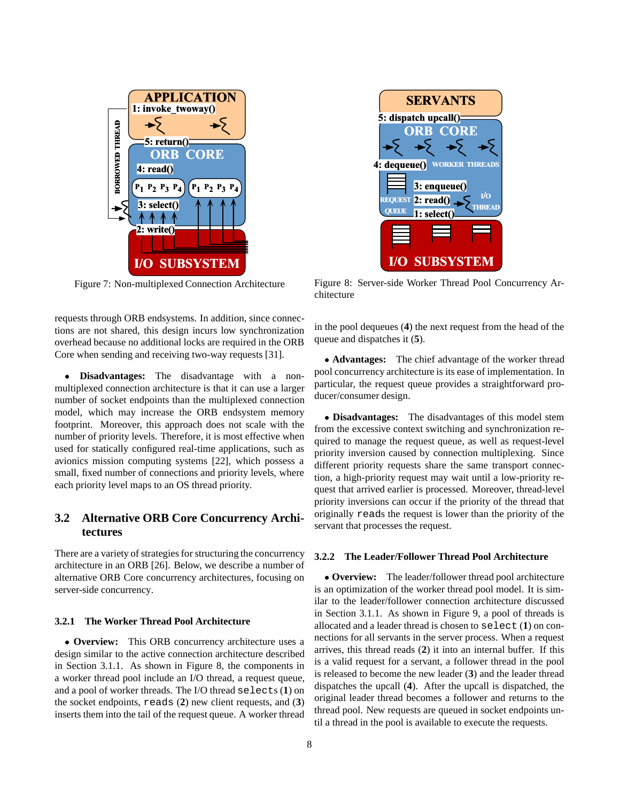

Figure 7: Non-multiplexed Connection Architecture

requests through ORB endsystems. In addition, since connections are not shared, this design incurs low synchronization overhead because no additional locks are required in the ORB Core when sending and receiving two-way requests [31].

 **Disadvantages:** The disadvantage with a nonmultiplexed connection architecture is that it can use a larger number of socket endpoints than the multiplexed connection model, which may increase the ORB endsystem memory footprint. Moreover, this approach does not scale with the number of priority levels. Therefore, it is most effective when used for statically configured real-time applications, such as avionics mission computing systems [22], which possess a small, fixed number of connections and priority levels, where each priority level maps to an OS thread priority.

# **3.2 Alternative ORB Core Concurrency Architectures**

There are a variety of strategies for structuring the concurrency architecture in an ORB [26]. Below, we describe a number of alternative ORB Core concurrency architectures, focusing on server-side concurrency.

### **3.2.1 The Worker Thread Pool Architecture**

 **Overview:** This ORB concurrency architecture uses a design similar to the active connection architecture described in Section 3.1.1. As shown in Figure 8, the components in a worker thread pool include an I/O thread, a request queue, and a pool of worker threads. The I/O thread selects (**1**) on the socket endpoints, reads (**2**) new client requests, and (**3**) inserts them into the tail of the request queue. A worker thread



Figure 8: Server-side Worker Thread Pool Concurrency Architecture

in the pool dequeues (**4**) the next request from the head of the queue and dispatches it (**5**).

• **Advantages:** The chief advantage of the worker thread pool concurrency architecture is its ease of implementation. In particular, the request queue provides a straightforward producer/consumer design.

 **Disadvantages:** The disadvantages of this model stem from the excessive context switching and synchronization required to manage the request queue, as well as request-level priority inversion caused by connection multiplexing. Since different priority requests share the same transport connection, a high-priority request may wait until a low-priority request that arrived earlier is processed. Moreover, thread-level priority inversions can occur if the priority of the thread that originally reads the request is lower than the priority of the servant that processes the request.

## **3.2.2 The Leader/Follower Thread Pool Architecture**

 **Overview:** The leader/follower thread pool architecture is an optimization of the worker thread pool model. It is similar to the leader/follower connection architecture discussed in Section 3.1.1. As shown in Figure 9, a pool of threads is allocated and a leader thread is chosen to select (**1**) on connections for all servants in the server process. When a request arrives, this thread reads (**2**) it into an internal buffer. If this is a valid request for a servant, a follower thread in the pool is released to become the new leader (**3**) and the leader thread dispatches the upcall (**4**). After the upcall is dispatched, the original leader thread becomes a follower and returns to the thread pool. New requests are queued in socket endpoints until a thread in the pool is available to execute the requests.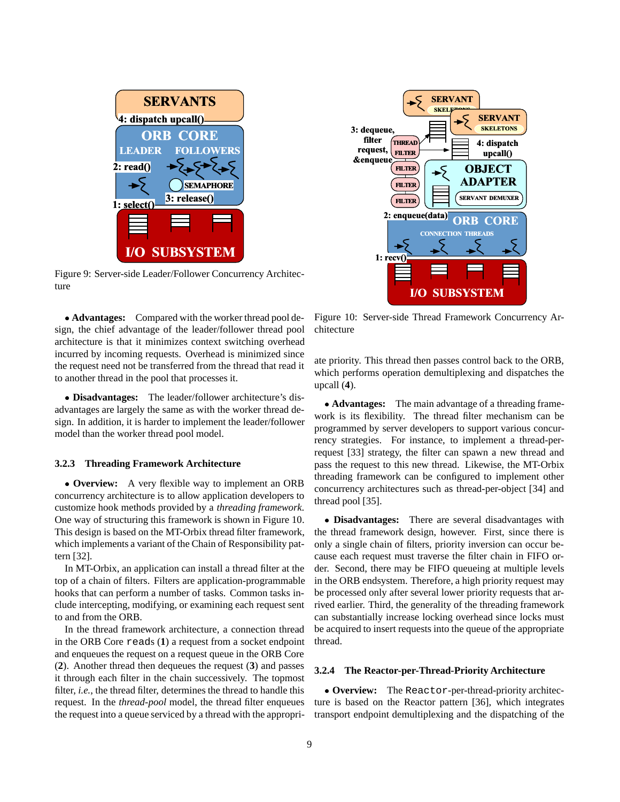

Figure 9: Server-side Leader/Follower Concurrency Architecture



 **Advantages:** Compared with the worker thread pool design, the chief advantage of the leader/follower thread pool architecture is that it minimizes context switching overhead incurred by incoming requests. Overhead is minimized since the request need not be transferred from the thread that read it to another thread in the pool that processes it.

 **Disadvantages:** The leader/follower architecture's disadvantages are largely the same as with the worker thread design. In addition, it is harder to implement the leader/follower model than the worker thread pool model.

#### **3.2.3 Threading Framework Architecture**

 **Overview:** A very flexible way to implement an ORB concurrency architecture is to allow application developers to customize hook methods provided by a *threading framework*. One way of structuring this framework is shown in Figure 10. This design is based on the MT-Orbix thread filter framework, which implements a variant of the Chain of Responsibility pattern [32].

In MT-Orbix, an application can install a thread filter at the top of a chain of filters. Filters are application-programmable hooks that can perform a number of tasks. Common tasks include intercepting, modifying, or examining each request sent to and from the ORB.

In the thread framework architecture, a connection thread in the ORB Core reads (**1**) a request from a socket endpoint and enqueues the request on a request queue in the ORB Core (**2**). Another thread then dequeues the request (**3**) and passes it through each filter in the chain successively. The topmost filter, *i.e.*, the thread filter, determines the thread to handle this request. In the *thread-pool* model, the thread filter enqueues the request into a queue serviced by a thread with the appropri-

Figure 10: Server-side Thread Framework Concurrency Architecture

ate priority. This thread then passes control back to the ORB, which performs operation demultiplexing and dispatches the upcall (**4**).

 **Advantages:** The main advantage of a threading framework is its flexibility. The thread filter mechanism can be programmed by server developers to support various concurrency strategies. For instance, to implement a thread-perrequest [33] strategy, the filter can spawn a new thread and pass the request to this new thread. Likewise, the MT-Orbix threading framework can be configured to implement other concurrency architectures such as thread-per-object [34] and thread pool [35].

 **Disadvantages:** There are several disadvantages with the thread framework design, however. First, since there is only a single chain of filters, priority inversion can occur because each request must traverse the filter chain in FIFO order. Second, there may be FIFO queueing at multiple levels in the ORB endsystem. Therefore, a high priority request may be processed only after several lower priority requests that arrived earlier. Third, the generality of the threading framework can substantially increase locking overhead since locks must be acquired to insert requests into the queue of the appropriate thread.

#### **3.2.4 The Reactor-per-Thread-Priority Architecture**

 **Overview:** The Reactor-per-thread-priority architecture is based on the Reactor pattern [36], which integrates transport endpoint demultiplexing and the dispatching of the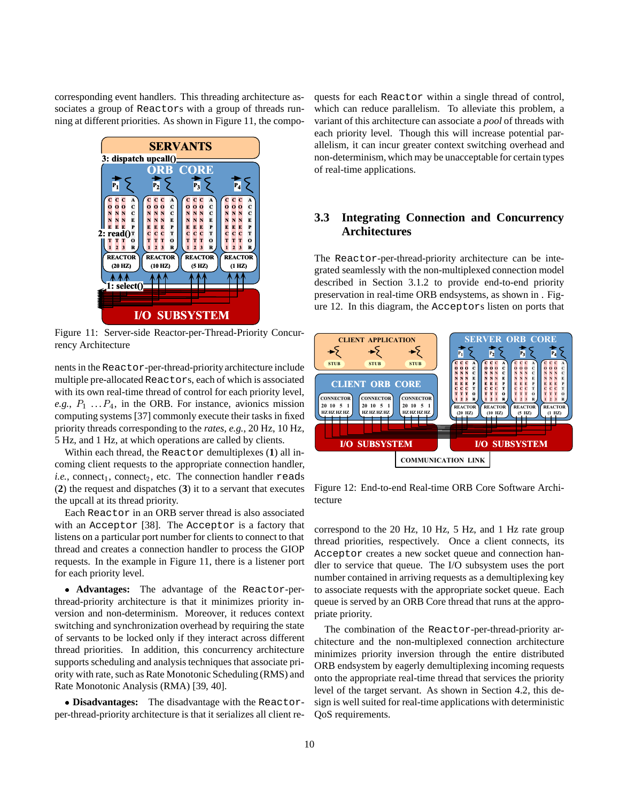corresponding event handlers. This threading architecture associates a group of Reactors with a group of threads running at different priorities. As shown in Figure 11, the compo-



Figure 11: Server-side Reactor-per-Thread-Priority Concurrency Architecture

nents in the Reactor-per-thread-priority architecture include multiple pre-allocated Reactors, each of which is associated with its own real-time thread of control for each priority level, *e.g.*,  $P_1$  ...  $P_4$ , in the ORB. For instance, avionics mission computing systems [37] commonly execute their tasks in fixed priority threads corresponding to the *rates*, *e.g.*, 20 Hz, 10 Hz, 5 Hz, and 1 Hz, at which operations are called by clients.

Within each thread, the Reactor demultiplexes (**1**) all incoming client requests to the appropriate connection handler,  $i.e.,$  connect<sub>1</sub>, connect<sub>2</sub>, etc. The connection handler reads (**2**) the request and dispatches (**3**) it to a servant that executes the upcall at its thread priority.

Each Reactor in an ORB server thread is also associated with an Acceptor [38]. The Acceptor is a factory that listens on a particular port number for clients to connect to that thread and creates a connection handler to process the GIOP requests. In the example in Figure 11, there is a listener port for each priority level.

 **Advantages:** The advantage of the Reactor-perthread-priority architecture is that it minimizes priority inversion and non-determinism. Moreover, it reduces context switching and synchronization overhead by requiring the state of servants to be locked only if they interact across different thread priorities. In addition, this concurrency architecture supports scheduling and analysis techniques that associate priority with rate, such as Rate Monotonic Scheduling (RMS) and Rate Monotonic Analysis (RMA) [39, 40].

 **Disadvantages:** The disadvantage with the Reactorper-thread-priority architecture is that it serializes all client requests for each Reactor within a single thread of control, which can reduce parallelism. To alleviate this problem, a variant of this architecture can associate a *pool* of threads with each priority level. Though this will increase potential parallelism, it can incur greater context switching overhead and non-determinism, which may be unacceptable for certain types of real-time applications.

# **3.3 Integrating Connection and Concurrency Architectures**

The Reactor-per-thread-priority architecture can be integrated seamlessly with the non-multiplexed connection model described in Section 3.1.2 to provide end-to-end priority preservation in real-time ORB endsystems, as shown in . Figure 12. In this diagram, the Acceptors listen on ports that



Figure 12: End-to-end Real-time ORB Core Software Architecture

correspond to the 20 Hz, 10 Hz, 5 Hz, and 1 Hz rate group thread priorities, respectively. Once a client connects, its Acceptor creates a new socket queue and connection handler to service that queue. The I/O subsystem uses the port number contained in arriving requests as a demultiplexing key to associate requests with the appropriate socket queue. Each queue is served by an ORB Core thread that runs at the appropriate priority.

The combination of the Reactor-per-thread-priority architecture and the non-multiplexed connection architecture minimizes priority inversion through the entire distributed ORB endsystem by eagerly demultiplexing incoming requests onto the appropriate real-time thread that services the priority level of the target servant. As shown in Section 4.2, this design is well suited for real-time applications with deterministic QoS requirements.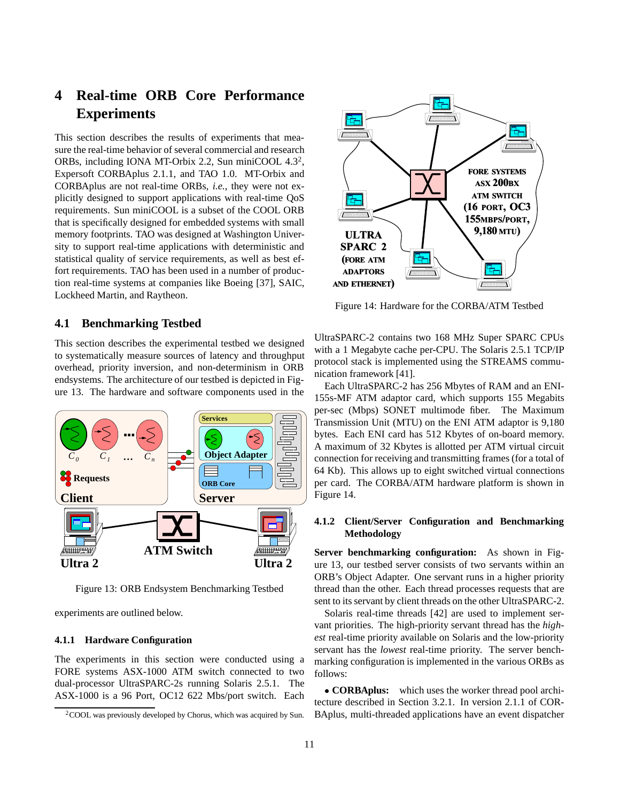# **4 Real-time ORB Core Performance Experiments**

This section describes the results of experiments that measure the real-time behavior of several commercial and research ORBs, including IONA MT-Orbix 2.2, Sun miniCOOL 4.32, Expersoft CORBAplus 2.1.1, and TAO 1.0. MT-Orbix and CORBAplus are not real-time ORBs, *i.e.*, they were not explicitly designed to support applications with real-time QoS requirements. Sun miniCOOL is a subset of the COOL ORB that is specifically designed for embedded systems with small memory footprints. TAO was designed at Washington University to support real-time applications with deterministic and statistical quality of service requirements, as well as best effort requirements. TAO has been used in a number of production real-time systems at companies like Boeing [37], SAIC, Lockheed Martin, and Raytheon.

## **4.1 Benchmarking Testbed**

This section describes the experimental testbed we designed to systematically measure sources of latency and throughput overhead, priority inversion, and non-determinism in ORB endsystems. The architecture of our testbed is depicted in Figure 13. The hardware and software components used in the



Figure 13: ORB Endsystem Benchmarking Testbed

experiments are outlined below.

### **4.1.1 Hardware Configuration**

The experiments in this section were conducted using a FORE systems ASX-1000 ATM switch connected to two dual-processor UltraSPARC-2s running Solaris 2.5.1. The ASX-1000 is a 96 Port, OC12 622 Mbs/port switch. Each



Figure 14: Hardware for the CORBA/ATM Testbed

UltraSPARC-2 contains two 168 MHz Super SPARC CPUs with a 1 Megabyte cache per-CPU. The Solaris 2.5.1 TCP/IP protocol stack is implemented using the STREAMS communication framework [41].

Each UltraSPARC-2 has 256 Mbytes of RAM and an ENI-155s-MF ATM adaptor card, which supports 155 Megabits per-sec (Mbps) SONET multimode fiber. The Maximum Transmission Unit (MTU) on the ENI ATM adaptor is 9,180 bytes. Each ENI card has 512 Kbytes of on-board memory. A maximum of 32 Kbytes is allotted per ATM virtual circuit connection for receiving and transmitting frames (for a total of 64 Kb). This allows up to eight switched virtual connections per card. The CORBA/ATM hardware platform is shown in Figure 14.

### **4.1.2 Client/Server Configuration and Benchmarking Methodology**

**Server benchmarking configuration:** As shown in Figure 13, our testbed server consists of two servants within an ORB's Object Adapter. One servant runs in a higher priority thread than the other. Each thread processes requests that are sent to its servant by client threads on the other UltraSPARC-2.

Solaris real-time threads [42] are used to implement servant priorities. The high-priority servant thread has the *highest* real-time priority available on Solaris and the low-priority servant has the *lowest* real-time priority. The server benchmarking configuration is implemented in the various ORBs as follows:

 **CORBAplus:** which uses the worker thread pool architecture described in Section 3.2.1. In version 2.1.1 of COR-BAplus, multi-threaded applications have an event dispatcher

 $2$ COOL was previously developed by Chorus, which was acquired by Sun.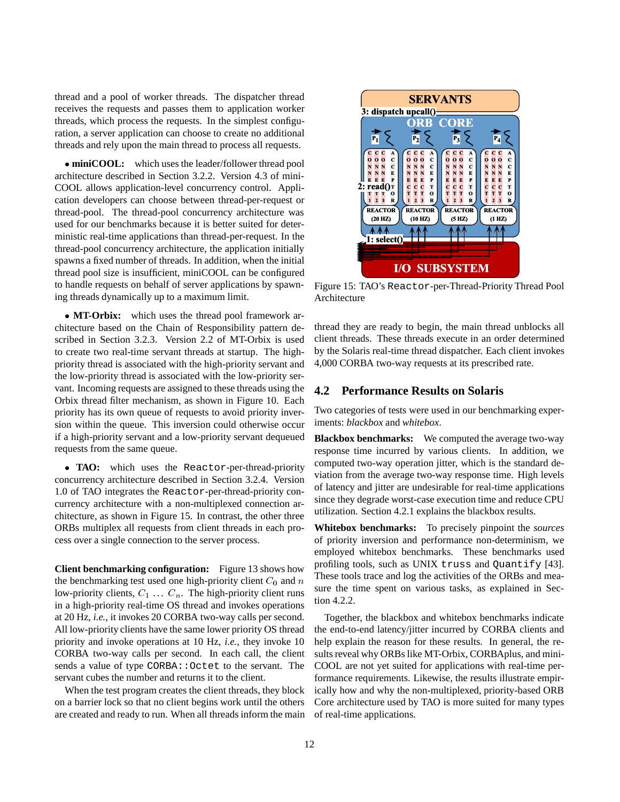thread and a pool of worker threads. The dispatcher thread receives the requests and passes them to application worker threads, which process the requests. In the simplest configuration, a server application can choose to create no additional threads and rely upon the main thread to process all requests.

• miniCOOL: which uses the leader/follower thread pool architecture described in Section 3.2.2. Version 4.3 of mini-COOL allows application-level concurrency control. Application developers can choose between thread-per-request or thread-pool. The thread-pool concurrency architecture was used for our benchmarks because it is better suited for deterministic real-time applications than thread-per-request. In the thread-pool concurrency architecture, the application initially spawns a fixed number of threads. In addition, when the initial thread pool size is insufficient, miniCOOL can be configured to handle requests on behalf of server applications by spawning threads dynamically up to a maximum limit.

 **MT-Orbix:** which uses the thread pool framework architecture based on the Chain of Responsibility pattern described in Section 3.2.3. Version 2.2 of MT-Orbix is used to create two real-time servant threads at startup. The highpriority thread is associated with the high-priority servant and the low-priority thread is associated with the low-priority servant. Incoming requests are assigned to these threads using the Orbix thread filter mechanism, as shown in Figure 10. Each priority has its own queue of requests to avoid priority inversion within the queue. This inversion could otherwise occur if a high-priority servant and a low-priority servant dequeued requests from the same queue.

 **TAO:** which uses the Reactor-per-thread-priority concurrency architecture described in Section 3.2.4. Version 1.0 of TAO integrates the Reactor-per-thread-priority concurrency architecture with a non-multiplexed connection architecture, as shown in Figure 15. In contrast, the other three ORBs multiplex all requests from client threads in each process over a single connection to the server process.

**Client benchmarking configuration:** Figure 13 shows how the benchmarking test used one high-priority client  $C_0$  and n low-priority clients,  $C_1 \ldots C_n$ . The high-priority client runs in a high-priority real-time OS thread and invokes operations at 20 Hz, *i.e.*, it invokes 20 CORBA two-way calls per second. All low-priority clients have the same lower priority OS thread priority and invoke operations at 10 Hz, *i.e.*, they invoke 10 CORBA two-way calls per second. In each call, the client sends a value of type CORBA:: Octet to the servant. The servant cubes the number and returns it to the client.

When the test program creates the client threads, they block on a barrier lock so that no client begins work until the others are created and ready to run. When all threads inform the main



Figure 15: TAO's Reactor-per-Thread-Priority Thread Pool Architecture

thread they are ready to begin, the main thread unblocks all client threads. These threads execute in an order determined by the Solaris real-time thread dispatcher. Each client invokes 4,000 CORBA two-way requests at its prescribed rate.

## **4.2 Performance Results on Solaris**

Two categories of tests were used in our benchmarking experiments: *blackbox* and *whitebox*.

**Blackbox benchmarks:** We computed the average two-way response time incurred by various clients. In addition, we computed two-way operation jitter, which is the standard deviation from the average two-way response time. High levels of latency and jitter are undesirable for real-time applications since they degrade worst-case execution time and reduce CPU utilization. Section 4.2.1 explains the blackbox results.

**Whitebox benchmarks:** To precisely pinpoint the *sources* of priority inversion and performance non-determinism, we employed whitebox benchmarks. These benchmarks used profiling tools, such as UNIX truss and Quantify [43]. These tools trace and log the activities of the ORBs and measure the time spent on various tasks, as explained in Section 4.2.2.

Together, the blackbox and whitebox benchmarks indicate the end-to-end latency/jitter incurred by CORBA clients and help explain the reason for these results. In general, the results reveal why ORBs like MT-Orbix, CORBAplus, and mini-COOL are not yet suited for applications with real-time performance requirements. Likewise, the results illustrate empirically how and why the non-multiplexed, priority-based ORB Core architecture used by TAO is more suited for many types of real-time applications.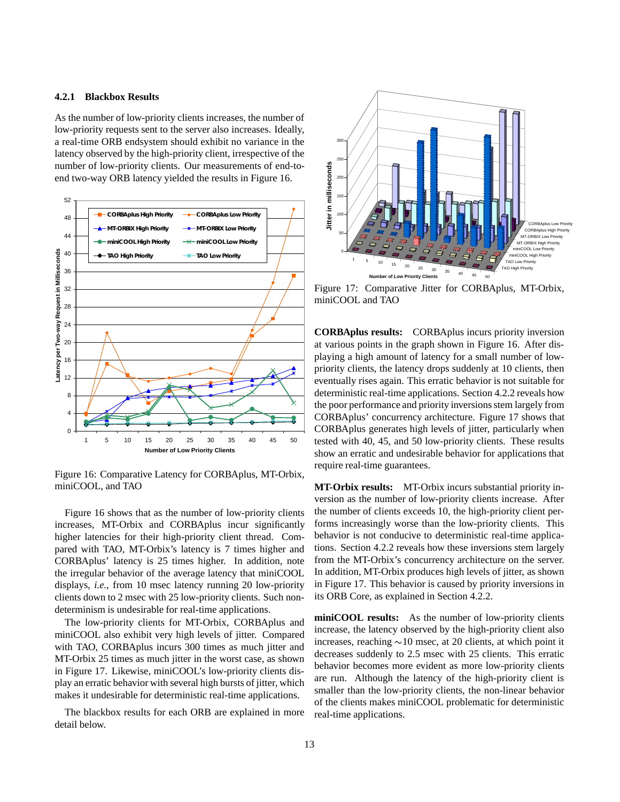### **4.2.1 Blackbox Results**

As the number of low-priority clients increases, the number of low-priority requests sent to the server also increases. Ideally, a real-time ORB endsystem should exhibit no variance in the latency observed by the high-priority client, irrespective of the number of low-priority clients. Our measurements of end-toend two-way ORB latency yielded the results in Figure 16.



Figure 16: Comparative Latency for CORBAplus, MT-Orbix, miniCOOL, and TAO

Figure 16 shows that as the number of low-priority clients increases, MT-Orbix and CORBAplus incur significantly higher latencies for their high-priority client thread. Compared with TAO, MT-Orbix's latency is 7 times higher and CORBAplus' latency is 25 times higher. In addition, note the irregular behavior of the average latency that miniCOOL displays, *i.e.*, from 10 msec latency running 20 low-priority clients down to 2 msec with 25 low-priority clients. Such nondeterminism is undesirable for real-time applications.

The low-priority clients for MT-Orbix, CORBAplus and miniCOOL also exhibit very high levels of jitter. Compared with TAO, CORBAplus incurs 300 times as much jitter and MT-Orbix 25 times as much jitter in the worst case, as shown in Figure 17. Likewise, miniCOOL's low-priority clients display an erratic behavior with several high bursts of jitter, which makes it undesirable for deterministic real-time applications.

The blackbox results for each ORB are explained in more detail below.



Figure 17: Comparative Jitter for CORBAplus, MT-Orbix, miniCOOL and TAO

**CORBAplus results:** CORBAplus incurs priority inversion at various points in the graph shown in Figure 16. After displaying a high amount of latency for a small number of lowpriority clients, the latency drops suddenly at 10 clients, then eventually rises again. This erratic behavior is not suitable for deterministic real-time applications. Section 4.2.2 reveals how the poor performance and priority inversions stem largely from CORBAplus' concurrency architecture. Figure 17 shows that CORBAplus generates high levels of jitter, particularly when tested with 40, 45, and 50 low-priority clients. These results show an erratic and undesirable behavior for applications that require real-time guarantees.

**MT-Orbix results:** MT-Orbix incurs substantial priority inversion as the number of low-priority clients increase. After the number of clients exceeds 10, the high-priority client performs increasingly worse than the low-priority clients. This behavior is not conducive to deterministic real-time applications. Section 4.2.2 reveals how these inversions stem largely from the MT-Orbix's concurrency architecture on the server. In addition, MT-Orbix produces high levels of jitter, as shown in Figure 17. This behavior is caused by priority inversions in its ORB Core, as explained in Section 4.2.2.

**miniCOOL results:** As the number of low-priority clients increase, the latency observed by the high-priority client also increases, reaching  $\sim$ 10 msec, at 20 clients, at which point it decreases suddenly to 2.5 msec with 25 clients. This erratic behavior becomes more evident as more low-priority clients are run. Although the latency of the high-priority client is smaller than the low-priority clients, the non-linear behavior of the clients makes miniCOOL problematic for deterministic real-time applications.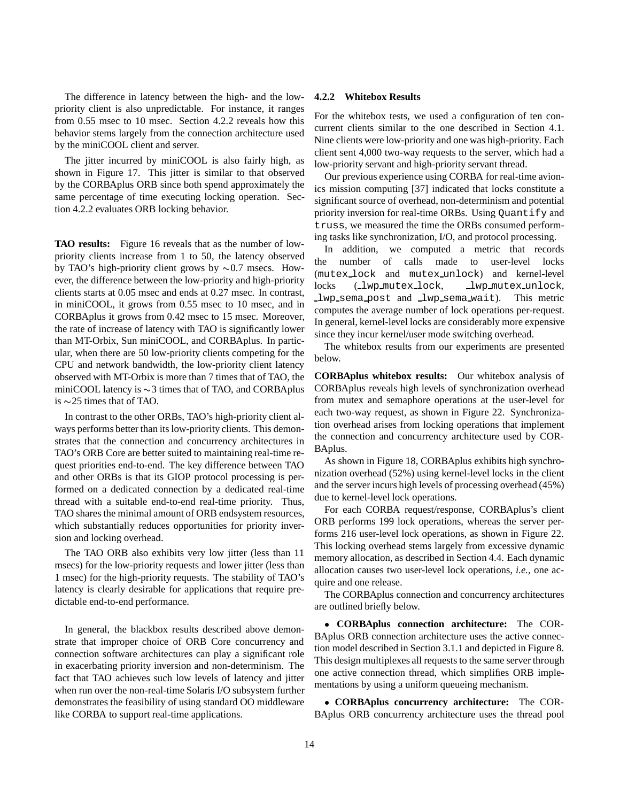The difference in latency between the high- and the lowpriority client is also unpredictable. For instance, it ranges from 0.55 msec to 10 msec. Section 4.2.2 reveals how this behavior stems largely from the connection architecture used by the miniCOOL client and server.

The jitter incurred by miniCOOL is also fairly high, as shown in Figure 17. This jitter is similar to that observed by the CORBAplus ORB since both spend approximately the same percentage of time executing locking operation. Section 4.2.2 evaluates ORB locking behavior.

**TAO results:** Figure 16 reveals that as the number of lowpriority clients increase from 1 to 50, the latency observed by TAO's high-priority client grows by  $\sim 0.7$  msecs. However, the difference between the low-priority and high-priority clients starts at 0.05 msec and ends at 0.27 msec. In contrast, in miniCOOL, it grows from 0.55 msec to 10 msec, and in CORBAplus it grows from 0.42 msec to 15 msec. Moreover, the rate of increase of latency with TAO is significantly lower than MT-Orbix, Sun miniCOOL, and CORBAplus. In particular, when there are 50 low-priority clients competing for the CPU and network bandwidth, the low-priority client latency observed with MT-Orbix is more than 7 times that of TAO, the miniCOOL latency is  $\sim$ 3 times that of TAO, and CORBAplus is  $\sim$ 25 times that of TAO.

In contrast to the other ORBs, TAO's high-priority client always performs better than its low-priority clients. This demonstrates that the connection and concurrency architectures in TAO's ORB Core are better suited to maintaining real-time request priorities end-to-end. The key difference between TAO and other ORBs is that its GIOP protocol processing is performed on a dedicated connection by a dedicated real-time thread with a suitable end-to-end real-time priority. Thus, TAO shares the minimal amount of ORB endsystem resources, which substantially reduces opportunities for priority inversion and locking overhead.

The TAO ORB also exhibits very low jitter (less than 11 msecs) for the low-priority requests and lower jitter (less than 1 msec) for the high-priority requests. The stability of TAO's latency is clearly desirable for applications that require predictable end-to-end performance.

In general, the blackbox results described above demonstrate that improper choice of ORB Core concurrency and connection software architectures can play a significant role in exacerbating priority inversion and non-determinism. The fact that TAO achieves such low levels of latency and jitter when run over the non-real-time Solaris I/O subsystem further demonstrates the feasibility of using standard OO middleware like CORBA to support real-time applications.

#### **4.2.2 Whitebox Results**

For the whitebox tests, we used a configuration of ten concurrent clients similar to the one described in Section 4.1. Nine clients were low-priority and one was high-priority. Each client sent 4,000 two-way requests to the server, which had a low-priority servant and high-priority servant thread.

Our previous experience using CORBA for real-time avionics mission computing [37] indicated that locks constitute a significant source of overhead, non-determinism and potential priority inversion for real-time ORBs. Using Quantify and truss, we measured the time the ORBs consumed performing tasks like synchronization, I/O, and protocol processing.

In addition, we computed a metric that records the number of calls made to user-level locks (mutex lock and mutex unlock) and kernel-level locks (lwp mutex lock, lwp mutex unlock, lwp sema post and lwp sema wait). This metric computes the average number of lock operations per-request. In general, kernel-level locks are considerably more expensive since they incur kernel/user mode switching overhead.

The whitebox results from our experiments are presented below.

**CORBAplus whitebox results:** Our whitebox analysis of CORBAplus reveals high levels of synchronization overhead from mutex and semaphore operations at the user-level for each two-way request, as shown in Figure 22. Synchronization overhead arises from locking operations that implement the connection and concurrency architecture used by COR-BAplus.

As shown in Figure 18, CORBAplus exhibits high synchronization overhead (52%) using kernel-level locks in the client and the server incurs high levels of processing overhead (45%) due to kernel-level lock operations.

For each CORBA request/response, CORBAplus's client ORB performs 199 lock operations, whereas the server performs 216 user-level lock operations, as shown in Figure 22. This locking overhead stems largely from excessive dynamic memory allocation, as described in Section 4.4. Each dynamic allocation causes two user-level lock operations, *i.e.*, one acquire and one release.

The CORBAplus connection and concurrency architectures are outlined briefly below.

 **CORBAplus connection architecture:** The COR-BAplus ORB connection architecture uses the active connection model described in Section 3.1.1 and depicted in Figure 8. This design multiplexes all requests to the same server through one active connection thread, which simplifies ORB implementations by using a uniform queueing mechanism.

 **CORBAplus concurrency architecture:** The COR-BAplus ORB concurrency architecture uses the thread pool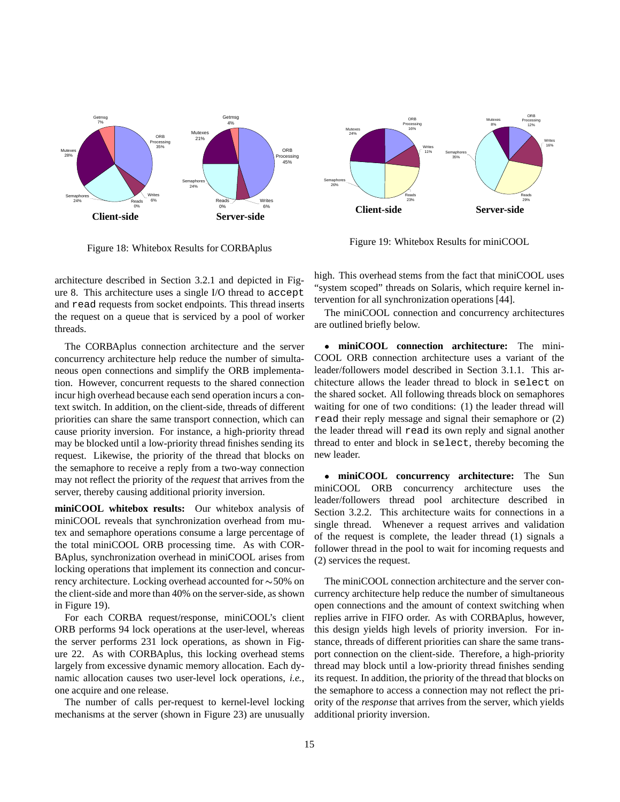

Figure 18: Whitebox Results for CORBAplus



ORB Processing 12%

Mutexes 8%

ORB Processing

Figure 19: Whitebox Results for miniCOOL

architecture described in Section 3.2.1 and depicted in Figure 8. This architecture uses a single I/O thread to accept and read requests from socket endpoints. This thread inserts the request on a queue that is serviced by a pool of worker threads.

The CORBAplus connection architecture and the server concurrency architecture help reduce the number of simultaneous open connections and simplify the ORB implementation. However, concurrent requests to the shared connection incur high overhead because each send operation incurs a context switch. In addition, on the client-side, threads of different priorities can share the same transport connection, which can cause priority inversion. For instance, a high-priority thread may be blocked until a low-priority thread finishes sending its request. Likewise, the priority of the thread that blocks on the semaphore to receive a reply from a two-way connection may not reflect the priority of the *request* that arrives from the server, thereby causing additional priority inversion.

**miniCOOL whitebox results:** Our whitebox analysis of miniCOOL reveals that synchronization overhead from mutex and semaphore operations consume a large percentage of the total miniCOOL ORB processing time. As with COR-BAplus, synchronization overhead in miniCOOL arises from locking operations that implement its connection and concurrency architecture. Locking overhead accounted for  $\sim$  50% on the client-side and more than 40% on the server-side, as shown in Figure 19).

For each CORBA request/response, miniCOOL's client ORB performs 94 lock operations at the user-level, whereas the server performs 231 lock operations, as shown in Figure 22. As with CORBAplus, this locking overhead stems largely from excessive dynamic memory allocation. Each dynamic allocation causes two user-level lock operations, *i.e.*, one acquire and one release.

The number of calls per-request to kernel-level locking mechanisms at the server (shown in Figure 23) are unusually

high. This overhead stems from the fact that miniCOOL uses "system scoped" threads on Solaris, which require kernel intervention for all synchronization operations [44].

The miniCOOL connection and concurrency architectures are outlined briefly below.

 **miniCOOL connection architecture:** The mini-COOL ORB connection architecture uses a variant of the leader/followers model described in Section 3.1.1. This architecture allows the leader thread to block in select on the shared socket. All following threads block on semaphores waiting for one of two conditions: (1) the leader thread will read their reply message and signal their semaphore or (2) the leader thread will read its own reply and signal another thread to enter and block in select, thereby becoming the new leader.

 **miniCOOL concurrency architecture:** The Sun miniCOOL ORB concurrency architecture uses the leader/followers thread pool architecture described in Section 3.2.2. This architecture waits for connections in a single thread. Whenever a request arrives and validation of the request is complete, the leader thread (1) signals a follower thread in the pool to wait for incoming requests and (2) services the request.

The miniCOOL connection architecture and the server concurrency architecture help reduce the number of simultaneous open connections and the amount of context switching when replies arrive in FIFO order. As with CORBAplus, however, this design yields high levels of priority inversion. For instance, threads of different priorities can share the same transport connection on the client-side. Therefore, a high-priority thread may block until a low-priority thread finishes sending its request. In addition, the priority of the thread that blocks on the semaphore to access a connection may not reflect the priority of the *response* that arrives from the server, which yields additional priority inversion.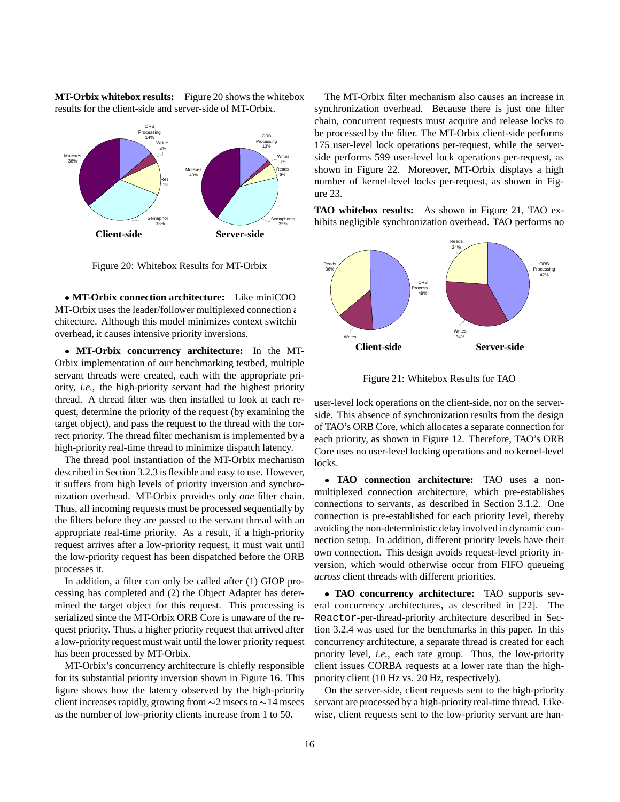**MT-Orbix whitebox results:** Figure 20 shows the whitebox results for the client-side and server-side of MT-Orbix.



Figure 20: Whitebox Results for MT-Orbix

 **MT-Orbix connection architecture:** Like miniCOOL, MT-Orbix uses the leader/follower multiplexed connection a chitecture. Although this model minimizes context switching overhead, it causes intensive priority inversions.

 **MT-Orbix concurrency architecture:** In the MT-Orbix implementation of our benchmarking testbed, multiple servant threads were created, each with the appropriate priority, *i.e.*, the high-priority servant had the highest priority thread. A thread filter was then installed to look at each request, determine the priority of the request (by examining the target object), and pass the request to the thread with the correct priority. The thread filter mechanism is implemented by a high-priority real-time thread to minimize dispatch latency.

The thread pool instantiation of the MT-Orbix mechanism described in Section 3.2.3 is flexible and easy to use. However, it suffers from high levels of priority inversion and synchronization overhead. MT-Orbix provides only *one* filter chain. Thus, all incoming requests must be processed sequentially by the filters before they are passed to the servant thread with an appropriate real-time priority. As a result, if a high-priority request arrives after a low-priority request, it must wait until the low-priority request has been dispatched before the ORB processes it.

In addition, a filter can only be called after (1) GIOP processing has completed and (2) the Object Adapter has determined the target object for this request. This processing is serialized since the MT-Orbix ORB Core is unaware of the request priority. Thus, a higher priority request that arrived after a low-priority request must wait until the lower priority request has been processed by MT-Orbix.

MT-Orbix's concurrency architecture is chiefly responsible for its substantial priority inversion shown in Figure 16. This figure shows how the latency observed by the high-priority client increases rapidly, growing from  $\sim$ 2 msecs to  $\sim$ 14 msecs as the number of low-priority clients increase from 1 to 50.

The MT-Orbix filter mechanism also causes an increase in synchronization overhead. Because there is just one filter chain, concurrent requests must acquire and release locks to be processed by the filter. The MT-Orbix client-side performs 175 user-level lock operations per-request, while the serverside performs 599 user-level lock operations per-request, as shown in Figure 22. Moreover, MT-Orbix displays a high number of kernel-level locks per-request, as shown in Figure 23.

**TAO whitebox results:** As shown in Figure 21, TAO exhibits negligible synchronization overhead. TAO performs no



Figure 21: Whitebox Results for TAO

user-level lock operations on the client-side, nor on the serverside. This absence of synchronization results from the design of TAO's ORB Core, which allocates a separate connection for each priority, as shown in Figure 12. Therefore, TAO's ORB Core uses no user-level locking operations and no kernel-level locks.

 **TAO connection architecture:** TAO uses a nonmultiplexed connection architecture, which pre-establishes connections to servants, as described in Section 3.1.2. One connection is pre-established for each priority level, thereby avoiding the non-deterministic delay involved in dynamic connection setup. In addition, different priority levels have their own connection. This design avoids request-level priority inversion, which would otherwise occur from FIFO queueing *across* client threads with different priorities.

 **TAO concurrency architecture:** TAO supports several concurrency architectures, as described in [22]. The Reactor-per-thread-priority architecture described in Section 3.2.4 was used for the benchmarks in this paper. In this concurrency architecture, a separate thread is created for each priority level, *i.e.*, each rate group. Thus, the low-priority client issues CORBA requests at a lower rate than the highpriority client (10 Hz vs. 20 Hz, respectively).

On the server-side, client requests sent to the high-priority servant are processed by a high-priority real-time thread. Likewise, client requests sent to the low-priority servant are han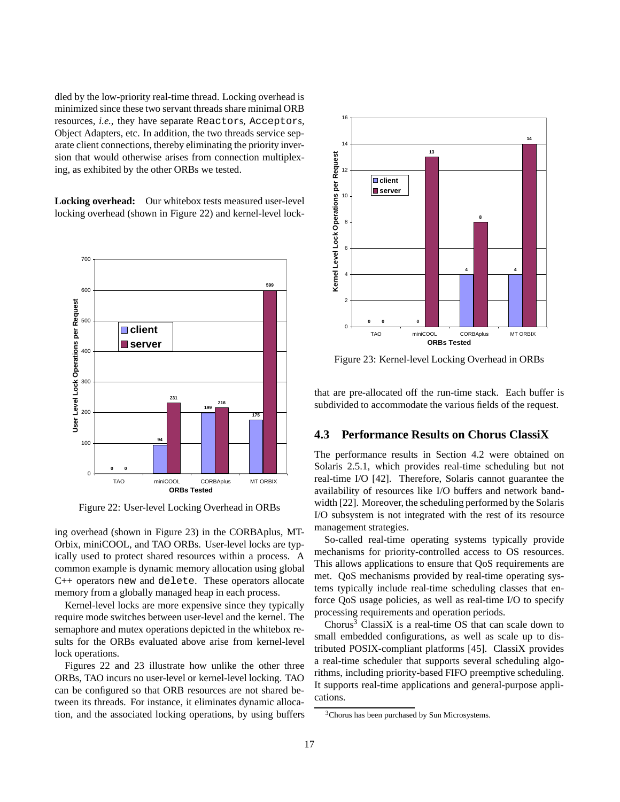dled by the low-priority real-time thread. Locking overhead is minimized since these two servant threads share minimal ORB resources, *i.e.*, they have separate Reactors, Acceptors, Object Adapters, etc. In addition, the two threads service separate client connections, thereby eliminating the priority inversion that would otherwise arises from connection multiplexing, as exhibited by the other ORBs we tested.

**Locking overhead:** Our whitebox tests measured user-level locking overhead (shown in Figure 22) and kernel-level lock-



Figure 22: User-level Locking Overhead in ORBs

ing overhead (shown in Figure 23) in the CORBAplus, MT-Orbix, miniCOOL, and TAO ORBs. User-level locks are typically used to protect shared resources within a process. A common example is dynamic memory allocation using global C++ operators new and delete. These operators allocate memory from a globally managed heap in each process.

Kernel-level locks are more expensive since they typically require mode switches between user-level and the kernel. The semaphore and mutex operations depicted in the whitebox results for the ORBs evaluated above arise from kernel-level lock operations.

Figures 22 and 23 illustrate how unlike the other three ORBs, TAO incurs no user-level or kernel-level locking. TAO can be configured so that ORB resources are not shared between its threads. For instance, it eliminates dynamic allocation, and the associated locking operations, by using buffers



Figure 23: Kernel-level Locking Overhead in ORBs

that are pre-allocated off the run-time stack. Each buffer is subdivided to accommodate the various fields of the request.

## **4.3 Performance Results on Chorus ClassiX**

The performance results in Section 4.2 were obtained on Solaris 2.5.1, which provides real-time scheduling but not real-time I/O [42]. Therefore, Solaris cannot guarantee the availability of resources like I/O buffers and network bandwidth [22]. Moreover, the scheduling performed by the Solaris I/O subsystem is not integrated with the rest of its resource management strategies.

So-called real-time operating systems typically provide mechanisms for priority-controlled access to OS resources. This allows applications to ensure that QoS requirements are met. QoS mechanisms provided by real-time operating systems typically include real-time scheduling classes that enforce QoS usage policies, as well as real-time I/O to specify processing requirements and operation periods.

Chorus<sup>3</sup> ClassiX is a real-time OS that can scale down to small embedded configurations, as well as scale up to distributed POSIX-compliant platforms [45]. ClassiX provides a real-time scheduler that supports several scheduling algorithms, including priority-based FIFO preemptive scheduling. It supports real-time applications and general-purpose applications.

<sup>&</sup>lt;sup>3</sup>Chorus has been purchased by Sun Microsystems.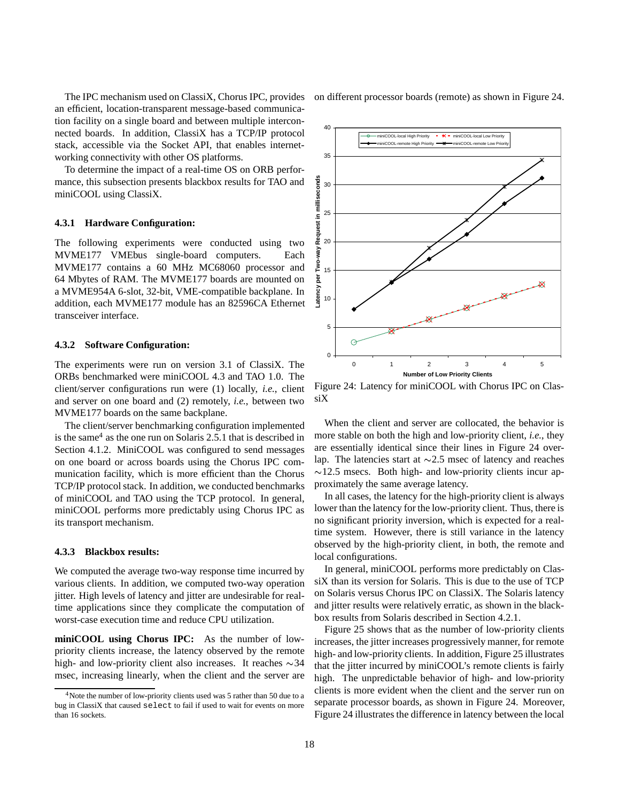The IPC mechanism used on ClassiX, Chorus IPC, provides an efficient, location-transparent message-based communication facility on a single board and between multiple interconnected boards. In addition, ClassiX has a TCP/IP protocol stack, accessible via the Socket API, that enables internetworking connectivity with other OS platforms.

To determine the impact of a real-time OS on ORB performance, this subsection presents blackbox results for TAO and miniCOOL using ClassiX.

#### **4.3.1 Hardware Configuration:**

The following experiments were conducted using two MVME177 VMEbus single-board computers. Each MVME177 contains a 60 MHz MC68060 processor and 64 Mbytes of RAM. The MVME177 boards are mounted on a MVME954A 6-slot, 32-bit, VME-compatible backplane. In addition, each MVME177 module has an 82596CA Ethernet transceiver interface.

#### **4.3.2 Software Configuration:**

The experiments were run on version 3.1 of ClassiX. The ORBs benchmarked were miniCOOL 4.3 and TAO 1.0. The client/server configurations run were (1) locally, *i.e.*, client and server on one board and (2) remotely, *i.e.*, between two MVME177 boards on the same backplane.

The client/server benchmarking configuration implemented is the same<sup>4</sup> as the one run on Solaris 2.5.1 that is described in Section 4.1.2. MiniCOOL was configured to send messages on one board or across boards using the Chorus IPC communication facility, which is more efficient than the Chorus TCP/IP protocol stack. In addition, we conducted benchmarks of miniCOOL and TAO using the TCP protocol. In general, miniCOOL performs more predictably using Chorus IPC as its transport mechanism.

### **4.3.3 Blackbox results:**

We computed the average two-way response time incurred by various clients. In addition, we computed two-way operation jitter. High levels of latency and jitter are undesirable for realtime applications since they complicate the computation of worst-case execution time and reduce CPU utilization.

**miniCOOL using Chorus IPC:** As the number of lowpriority clients increase, the latency observed by the remote high- and low-priority client also increases. It reaches  $\sim$ 34 msec, increasing linearly, when the client and the server are on different processor boards (remote) as shown in Figure 24.



Figure 24: Latency for miniCOOL with Chorus IPC on ClassiX

When the client and server are collocated, the behavior is more stable on both the high and low-priority client, *i.e.*, they are essentially identical since their lines in Figure 24 overlap. The latencies start at  $\sim$ 2.5 msec of latency and reaches  $\sim$ 12.5 msecs. Both high- and low-priority clients incur approximately the same average latency.

In all cases, the latency for the high-priority client is always lower than the latency for the low-priority client. Thus, there is no significant priority inversion, which is expected for a realtime system. However, there is still variance in the latency observed by the high-priority client, in both, the remote and local configurations.

In general, miniCOOL performs more predictably on ClassiX than its version for Solaris. This is due to the use of TCP on Solaris versus Chorus IPC on ClassiX. The Solaris latency and jitter results were relatively erratic, as shown in the blackbox results from Solaris described in Section 4.2.1.

Figure 25 shows that as the number of low-priority clients increases, the jitter increases progressively manner, for remote high- and low-priority clients. In addition, Figure 25 illustrates that the jitter incurred by miniCOOL's remote clients is fairly high. The unpredictable behavior of high- and low-priority clients is more evident when the client and the server run on separate processor boards, as shown in Figure 24. Moreover, Figure 24 illustrates the difference in latency between the local

 $4$ Note the number of low-priority clients used was 5 rather than 50 due to a bug in ClassiX that caused select to fail if used to wait for events on more than 16 sockets.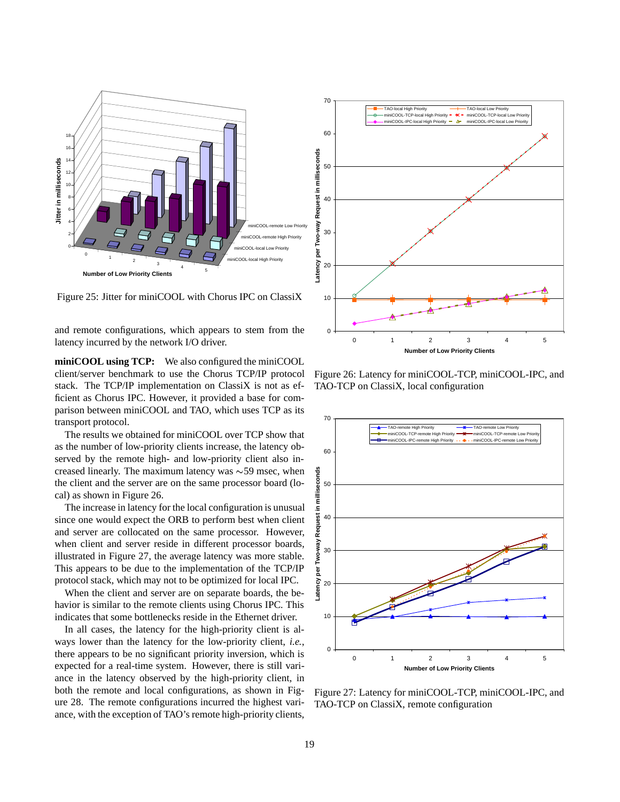

Figure 25: Jitter for miniCOOL with Chorus IPC on ClassiX

and remote configurations, which appears to stem from the latency incurred by the network I/O driver.

**miniCOOL using TCP:** We also configured the miniCOOL client/server benchmark to use the Chorus TCP/IP protocol stack. The TCP/IP implementation on ClassiX is not as efficient as Chorus IPC. However, it provided a base for comparison between miniCOOL and TAO, which uses TCP as its transport protocol.

The results we obtained for miniCOOL over TCP show that as the number of low-priority clients increase, the latency observed by the remote high- and low-priority client also increased linearly. The maximum latency was  $\sim$  59 msec, when the client and the server are on the same processor board (local) as shown in Figure 26.

The increase in latency for the local configuration is unusual since one would expect the ORB to perform best when client and server are collocated on the same processor. However, when client and server reside in different processor boards, illustrated in Figure 27, the average latency was more stable. This appears to be due to the implementation of the TCP/IP protocol stack, which may not to be optimized for local IPC.

When the client and server are on separate boards, the behavior is similar to the remote clients using Chorus IPC. This indicates that some bottlenecks reside in the Ethernet driver.

In all cases, the latency for the high-priority client is always lower than the latency for the low-priority client, *i.e.*, there appears to be no significant priority inversion, which is expected for a real-time system. However, there is still variance in the latency observed by the high-priority client, in both the remote and local configurations, as shown in Figure 28. The remote configurations incurred the highest variance, with the exception of TAO's remote high-priority clients,



Figure 26: Latency for miniCOOL-TCP, miniCOOL-IPC, and TAO-TCP on ClassiX, local configuration



Figure 27: Latency for miniCOOL-TCP, miniCOOL-IPC, and TAO-TCP on ClassiX, remote configuration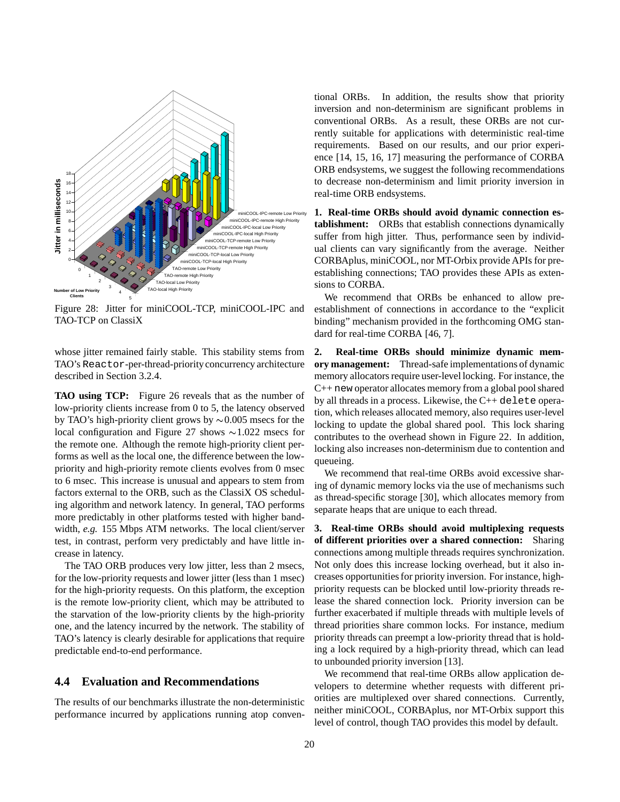

Figure 28: Jitter for miniCOOL-TCP, miniCOOL-IPC and TAO-TCP on ClassiX

whose jitter remained fairly stable. This stability stems from TAO's Reactor-per-thread-priorityconcurrency architecture described in Section 3.2.4.

**TAO using TCP:** Figure 26 reveals that as the number of low-priority clients increase from 0 to 5, the latency observed by TAO's high-priority client grows by  $\sim 0.005$  msecs for the local configuration and Figure 27 shows  $\sim$  1.022 msecs for the remote one. Although the remote high-priority client performs as well as the local one, the difference between the lowpriority and high-priority remote clients evolves from 0 msec to 6 msec. This increase is unusual and appears to stem from factors external to the ORB, such as the ClassiX OS scheduling algorithm and network latency. In general, TAO performs more predictably in other platforms tested with higher bandwidth, *e.g.* 155 Mbps ATM networks. The local client/server test, in contrast, perform very predictably and have little increase in latency.

The TAO ORB produces very low jitter, less than 2 msecs, for the low-priority requests and lower jitter (less than 1 msec) for the high-priority requests. On this platform, the exception is the remote low-priority client, which may be attributed to the starvation of the low-priority clients by the high-priority one, and the latency incurred by the network. The stability of TAO's latency is clearly desirable for applications that require predictable end-to-end performance.

### **4.4 Evaluation and Recommendations**

The results of our benchmarks illustrate the non-deterministic performance incurred by applications running atop conventional ORBs. In addition, the results show that priority inversion and non-determinism are significant problems in conventional ORBs. As a result, these ORBs are not currently suitable for applications with deterministic real-time requirements. Based on our results, and our prior experience [14, 15, 16, 17] measuring the performance of CORBA ORB endsystems, we suggest the following recommendations to decrease non-determinism and limit priority inversion in real-time ORB endsystems.

**1. Real-time ORBs should avoid dynamic connection establishment:** ORBs that establish connections dynamically suffer from high jitter. Thus, performance seen by individual clients can vary significantly from the average. Neither CORBAplus, miniCOOL, nor MT-Orbix provide APIs for preestablishing connections; TAO provides these APIs as extensions to CORBA.

We recommend that ORBs be enhanced to allow preestablishment of connections in accordance to the "explicit binding" mechanism provided in the forthcoming OMG standard for real-time CORBA [46, 7].

**2. Real-time ORBs should minimize dynamic memory management:** Thread-safe implementations of dynamic memory allocators require user-level locking. For instance, the C++ new operator allocates memory from a global pool shared by all threads in a process. Likewise, the C++ delete operation, which releases allocated memory, also requires user-level locking to update the global shared pool. This lock sharing contributes to the overhead shown in Figure 22. In addition, locking also increases non-determinism due to contention and queueing.

We recommend that real-time ORBs avoid excessive sharing of dynamic memory locks via the use of mechanisms such as thread-specific storage [30], which allocates memory from separate heaps that are unique to each thread.

**3. Real-time ORBs should avoid multiplexing requests of different priorities over a shared connection:** Sharing connections among multiple threads requires synchronization. Not only does this increase locking overhead, but it also increases opportunities for priority inversion. For instance, highpriority requests can be blocked until low-priority threads release the shared connection lock. Priority inversion can be further exacerbated if multiple threads with multiple levels of thread priorities share common locks. For instance, medium priority threads can preempt a low-priority thread that is holding a lock required by a high-priority thread, which can lead to unbounded priority inversion [13].

We recommend that real-time ORBs allow application developers to determine whether requests with different priorities are multiplexed over shared connections. Currently, neither miniCOOL, CORBAplus, nor MT-Orbix support this level of control, though TAO provides this model by default.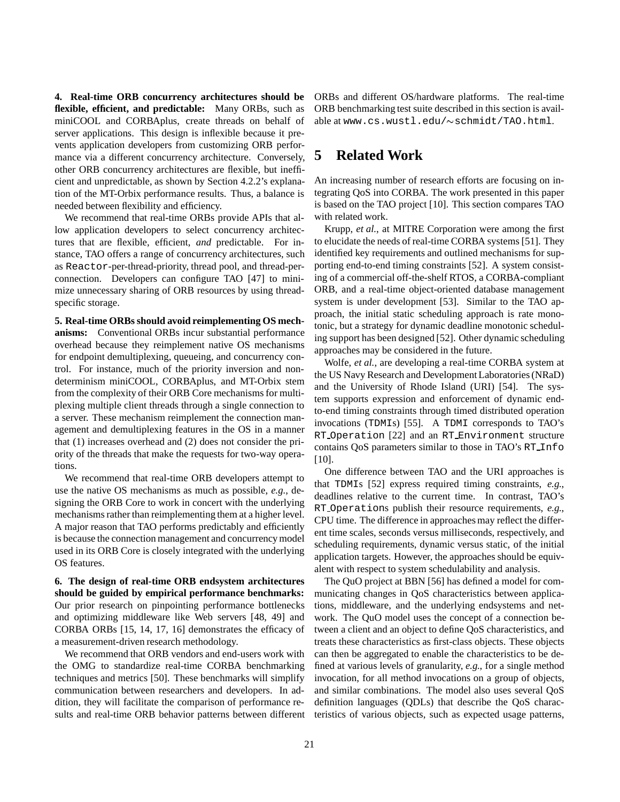**4. Real-time ORB concurrency architectures should be flexible, efficient, and predictable:** Many ORBs, such as miniCOOL and CORBAplus, create threads on behalf of server applications. This design is inflexible because it prevents application developers from customizing ORB performance via a different concurrency architecture. Conversely, other ORB concurrency architectures are flexible, but inefficient and unpredictable, as shown by Section 4.2.2's explanation of the MT-Orbix performance results. Thus, a balance is needed between flexibility and efficiency.

We recommend that real-time ORBs provide APIs that allow application developers to select concurrency architectures that are flexible, efficient, *and* predictable. For instance, TAO offers a range of concurrency architectures, such as Reactor-per-thread-priority, thread pool, and thread-perconnection. Developers can configure TAO [47] to minimize unnecessary sharing of ORB resources by using threadspecific storage.

**5. Real-time ORBs should avoid reimplementing OS mechanisms:** Conventional ORBs incur substantial performance overhead because they reimplement native OS mechanisms for endpoint demultiplexing, queueing, and concurrency control. For instance, much of the priority inversion and nondeterminism miniCOOL, CORBAplus, and MT-Orbix stem from the complexity of their ORB Core mechanisms for multiplexing multiple client threads through a single connection to a server. These mechanism reimplement the connection management and demultiplexing features in the OS in a manner that (1) increases overhead and (2) does not consider the priority of the threads that make the requests for two-way operations.

We recommend that real-time ORB developers attempt to use the native OS mechanisms as much as possible, *e.g.*, designing the ORB Core to work in concert with the underlying mechanisms rather than reimplementing them at a higher level. A major reason that TAO performs predictably and efficiently is because the connection management and concurrency model used in its ORB Core is closely integrated with the underlying OS features.

**6. The design of real-time ORB endsystem architectures should be guided by empirical performance benchmarks:** Our prior research on pinpointing performance bottlenecks and optimizing middleware like Web servers [48, 49] and CORBA ORBs [15, 14, 17, 16] demonstrates the efficacy of a measurement-driven research methodology.

We recommend that ORB vendors and end-users work with the OMG to standardize real-time CORBA benchmarking techniques and metrics [50]. These benchmarks will simplify communication between researchers and developers. In addition, they will facilitate the comparison of performance results and real-time ORB behavior patterns between different ORBs and different OS/hardware platforms. The real-time ORB benchmarking test suite described in this section is available at www.cs.wustl.edu/~schmidt/TAO.html.

# **5 Related Work**

An increasing number of research efforts are focusing on integrating QoS into CORBA. The work presented in this paper is based on the TAO project [10]. This section compares TAO with related work.

Krupp, *et al.*, at MITRE Corporation were among the first to elucidate the needs of real-time CORBA systems [51]. They identified key requirements and outlined mechanisms for supporting end-to-end timing constraints [52]. A system consisting of a commercial off-the-shelf RTOS, a CORBA-compliant ORB, and a real-time object-oriented database management system is under development [53]. Similar to the TAO approach, the initial static scheduling approach is rate monotonic, but a strategy for dynamic deadline monotonic scheduling support has been designed [52]. Other dynamic scheduling approaches may be considered in the future.

Wolfe, *et al.*, are developing a real-time CORBA system at the US Navy Research and Development Laboratories (NRaD) and the University of Rhode Island (URI) [54]. The system supports expression and enforcement of dynamic endto-end timing constraints through timed distributed operation invocations (TDMIs) [55]. A TDMI corresponds to TAO's RT Operation [22] and an RT Environment structure contains QoS parameters similar to those in TAO's RT Info [10].

One difference between TAO and the URI approaches is that TDMIs [52] express required timing constraints, *e.g.*, deadlines relative to the current time. In contrast, TAO's RT Operations publish their resource requirements, *e.g.*, CPU time. The difference in approaches may reflect the different time scales, seconds versus milliseconds, respectively, and scheduling requirements, dynamic versus static, of the initial application targets. However, the approaches should be equivalent with respect to system schedulability and analysis.

The QuO project at BBN [56] has defined a model for communicating changes in QoS characteristics between applications, middleware, and the underlying endsystems and network. The QuO model uses the concept of a connection between a client and an object to define QoS characteristics, and treats these characteristics as first-class objects. These objects can then be aggregated to enable the characteristics to be defined at various levels of granularity, *e.g.*, for a single method invocation, for all method invocations on a group of objects, and similar combinations. The model also uses several QoS definition languages (QDLs) that describe the QoS characteristics of various objects, such as expected usage patterns,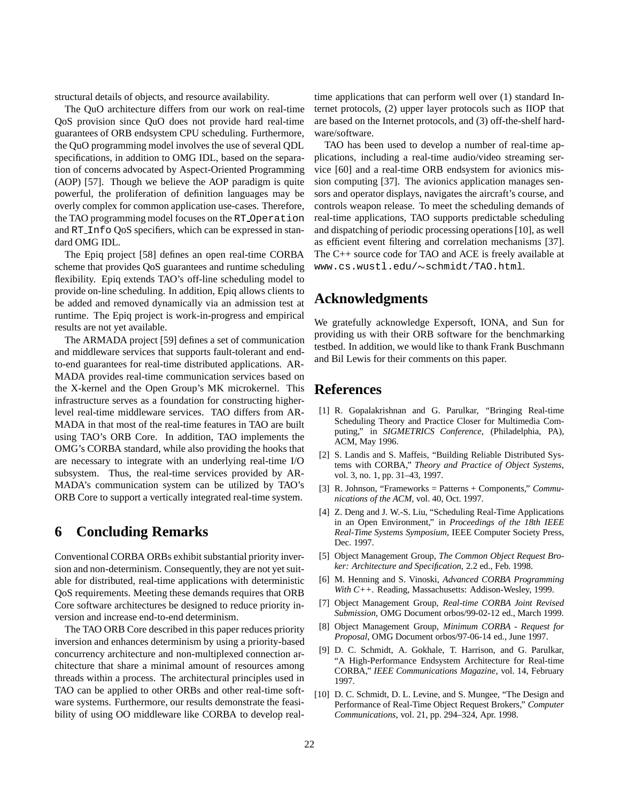structural details of objects, and resource availability.

The QuO architecture differs from our work on real-time QoS provision since QuO does not provide hard real-time guarantees of ORB endsystem CPU scheduling. Furthermore, the QuO programming model involves the use of several QDL specifications, in addition to OMG IDL, based on the separation of concerns advocated by Aspect-Oriented Programming (AOP) [57]. Though we believe the AOP paradigm is quite powerful, the proliferation of definition languages may be overly complex for common application use-cases. Therefore, the TAO programming model focuses on the RT Operation and RT Info QoS specifiers, which can be expressed in standard OMG IDL.

The Epiq project [58] defines an open real-time CORBA scheme that provides QoS guarantees and runtime scheduling flexibility. Epiq extends TAO's off-line scheduling model to provide on-line scheduling. In addition, Epiq allows clients to be added and removed dynamically via an admission test at runtime. The Epiq project is work-in-progress and empirical results are not yet available.

The ARMADA project [59] defines a set of communication and middleware services that supports fault-tolerant and endto-end guarantees for real-time distributed applications. AR-MADA provides real-time communication services based on the X-kernel and the Open Group's MK microkernel. This infrastructure serves as a foundation for constructing higherlevel real-time middleware services. TAO differs from AR-MADA in that most of the real-time features in TAO are built using TAO's ORB Core. In addition, TAO implements the OMG's CORBA standard, while also providing the hooks that are necessary to integrate with an underlying real-time I/O subsystem. Thus, the real-time services provided by AR-MADA's communication system can be utilized by TAO's ORB Core to support a vertically integrated real-time system.

# **6 Concluding Remarks**

Conventional CORBA ORBs exhibit substantial priority inversion and non-determinism. Consequently, they are not yet suitable for distributed, real-time applications with deterministic QoS requirements. Meeting these demands requires that ORB Core software architectures be designed to reduce priority inversion and increase end-to-end determinism.

The TAO ORB Core described in this paper reduces priority inversion and enhances determinism by using a priority-based concurrency architecture and non-multiplexed connection architecture that share a minimal amount of resources among threads within a process. The architectural principles used in TAO can be applied to other ORBs and other real-time software systems. Furthermore, our results demonstrate the feasibility of using OO middleware like CORBA to develop realtime applications that can perform well over (1) standard Internet protocols, (2) upper layer protocols such as IIOP that are based on the Internet protocols, and (3) off-the-shelf hardware/software.

TAO has been used to develop a number of real-time applications, including a real-time audio/video streaming service [60] and a real-time ORB endsystem for avionics mission computing [37]. The avionics application manages sensors and operator displays, navigates the aircraft's course, and controls weapon release. To meet the scheduling demands of real-time applications, TAO supports predictable scheduling and dispatching of periodic processing operations [10], as well as efficient event filtering and correlation mechanisms [37]. The C++ source code for TAO and ACE is freely available at www.cs.wustl.edu/~schmidt/TAO.html.

# **Acknowledgments**

We gratefully acknowledge Expersoft, IONA, and Sun for providing us with their ORB software for the benchmarking testbed. In addition, we would like to thank Frank Buschmann and Bil Lewis for their comments on this paper.

# **References**

- [1] R. Gopalakrishnan and G. Parulkar, "Bringing Real-time Scheduling Theory and Practice Closer for Multimedia Computing," in *SIGMETRICS Conference*, (Philadelphia, PA), ACM, May 1996.
- [2] S. Landis and S. Maffeis, "Building Reliable Distributed Systems with CORBA," *Theory and Practice of Object Systems*, vol. 3, no. 1, pp. 31–43, 1997.
- [3] R. Johnson, "Frameworks = Patterns + Components," *Communications of the ACM*, vol. 40, Oct. 1997.
- [4] Z. Deng and J. W.-S. Liu, "Scheduling Real-Time Applications in an Open Environment," in *Proceedings of the 18th IEEE Real-Time Systems Symposium*, IEEE Computer Society Press, Dec. 1997.
- [5] Object Management Group, *The Common Object Request Broker: Architecture and Specification*, 2.2 ed., Feb. 1998.
- [6] M. Henning and S. Vinoski, *Advanced CORBA Programming With C++*. Reading, Massachusetts: Addison-Wesley, 1999.
- [7] Object Management Group, *Real-time CORBA Joint Revised Submission*, OMG Document orbos/99-02-12 ed., March 1999.
- [8] Object Management Group, *Minimum CORBA Request for Proposal*, OMG Document orbos/97-06-14 ed., June 1997.
- [9] D. C. Schmidt, A. Gokhale, T. Harrison, and G. Parulkar, "A High-Performance Endsystem Architecture for Real-time CORBA," *IEEE Communications Magazine*, vol. 14, February 1997.
- [10] D. C. Schmidt, D. L. Levine, and S. Mungee, "The Design and Performance of Real-Time Object Request Brokers," *Computer Communications*, vol. 21, pp. 294–324, Apr. 1998.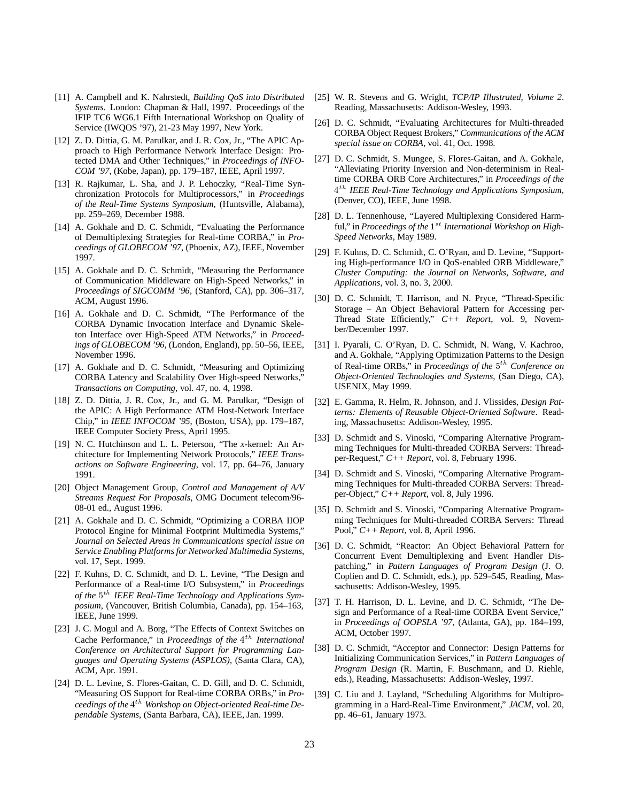- [11] A. Campbell and K. Nahrstedt, *Building QoS into Distributed Systems*. London: Chapman & Hall, 1997. Proceedings of the IFIP TC6 WG6.1 Fifth International Workshop on Quality of Service (IWQOS '97), 21-23 May 1997, New York.
- [12] Z. D. Dittia, G. M. Parulkar, and J. R. Cox, Jr., "The APIC Approach to High Performance Network Interface Design: Protected DMA and Other Techniques," in *Proceedings of INFO-COM '97*, (Kobe, Japan), pp. 179–187, IEEE, April 1997.
- [13] R. Rajkumar, L. Sha, and J. P. Lehoczky, "Real-Time Synchronization Protocols for Multiprocessors," in *Proceedings of the Real-Time Systems Symposium*, (Huntsville, Alabama), pp. 259–269, December 1988.
- [14] A. Gokhale and D. C. Schmidt, "Evaluating the Performance of Demultiplexing Strategies for Real-time CORBA," in *Proceedings of GLOBECOM '97*, (Phoenix, AZ), IEEE, November 1997.
- [15] A. Gokhale and D. C. Schmidt, "Measuring the Performance of Communication Middleware on High-Speed Networks," in *Proceedings of SIGCOMM '96*, (Stanford, CA), pp. 306–317, ACM, August 1996.
- [16] A. Gokhale and D. C. Schmidt, "The Performance of the CORBA Dynamic Invocation Interface and Dynamic Skeleton Interface over High-Speed ATM Networks," in *Proceedings of GLOBECOM '96*, (London, England), pp. 50–56, IEEE, November 1996.
- [17] A. Gokhale and D. C. Schmidt, "Measuring and Optimizing CORBA Latency and Scalability Over High-speed Networks," *Transactions on Computing*, vol. 47, no. 4, 1998.
- [18] Z. D. Dittia, J. R. Cox, Jr., and G. M. Parulkar, "Design of the APIC: A High Performance ATM Host-Network Interface Chip," in *IEEE INFOCOM '95*, (Boston, USA), pp. 179–187, IEEE Computer Society Press, April 1995.
- [19] N. C. Hutchinson and L. L. Peterson, "The *x*-kernel: An Architecture for Implementing Network Protocols," *IEEE Transactions on Software Engineering*, vol. 17, pp. 64–76, January 1991.
- [20] Object Management Group, *Control and Management of A/V Streams Request For Proposals*, OMG Document telecom/96- 08-01 ed., August 1996.
- [21] A. Gokhale and D. C. Schmidt, "Optimizing a CORBA IIOP Protocol Engine for Minimal Footprint Multimedia Systems," *Journal on Selected Areas in Communications special issue on Service Enabling Platforms for Networked Multimedia Systems*, vol. 17, Sept. 1999.
- [22] F. Kuhns, D. C. Schmidt, and D. L. Levine, "The Design and Performance of a Real-time I/O Subsystem," in *Proceedings* of the 5<sup>th</sup> IEEE Real-Time Technology and Applications Sym*posium*, (Vancouver, British Columbia, Canada), pp. 154–163, IEEE, June 1999.
- [23] J. C. Mogul and A. Borg, "The Effects of Context Switches on Cache Performance," in *Proceedings of the* 4<sup>th</sup> International *Conference on Architectural Support for Programming Languages and Operating Systems (ASPLOS)*, (Santa Clara, CA), ACM, Apr. 1991.
- [24] D. L. Levine, S. Flores-Gaitan, C. D. Gill, and D. C. Schmidt, "Measuring OS Support for Real-time CORBA ORBs," in *Pro*ceedings of the 4<sup>th</sup> Workshop on Object-oriented Real-time De*pendable Systems*, (Santa Barbara, CA), IEEE, Jan. 1999.
- [25] W. R. Stevens and G. Wright, *TCP/IP Illustrated, Volume 2*. Reading, Massachusetts: Addison-Wesley, 1993.
- [26] D. C. Schmidt, "Evaluating Architectures for Multi-threaded CORBA Object Request Brokers," *Communications of the ACM special issue on CORBA*, vol. 41, Oct. 1998.
- [27] D. C. Schmidt, S. Mungee, S. Flores-Gaitan, and A. Gokhale, "Alleviating Priority Inversion and Non-determinism in Realtime CORBA ORB Core Architectures," in *Proceedings of the* <sup>4</sup> th *IEEE Real-Time Technology and Applications Symposium*, (Denver, CO), IEEE, June 1998.
- [28] D. L. Tennenhouse, "Layered Multiplexing Considered Harmful," in *Proceedings of the* 1<sup>st</sup> International Workshop on High-*Speed Networks*, May 1989.
- [29] F. Kuhns, D. C. Schmidt, C. O'Ryan, and D. Levine, "Supporting High-performance I/O in QoS-enabled ORB Middleware," *Cluster Computing: the Journal on Networks, Software, and Applications*, vol. 3, no. 3, 2000.
- [30] D. C. Schmidt, T. Harrison, and N. Pryce, "Thread-Specific Storage – An Object Behavioral Pattern for Accessing per-Thread State Efficiently," *C++ Report*, vol. 9, November/December 1997.
- [31] I. Pyarali, C. O'Ryan, D. C. Schmidt, N. Wang, V. Kachroo, and A. Gokhale, "Applying Optimization Patterns to the Design of Real-time ORBs," in *Proceedings of the*  $5<sup>th</sup>$  *Conference on Object-Oriented Technologies and Systems*, (San Diego, CA), USENIX, May 1999.
- [32] E. Gamma, R. Helm, R. Johnson, and J. Vlissides, *Design Patterns: Elements of Reusable Object-Oriented Software*. Reading, Massachusetts: Addison-Wesley, 1995.
- [33] D. Schmidt and S. Vinoski, "Comparing Alternative Programming Techniques for Multi-threaded CORBA Servers: Threadper-Request," *C++ Report*, vol. 8, February 1996.
- [34] D. Schmidt and S. Vinoski, "Comparing Alternative Programming Techniques for Multi-threaded CORBA Servers: Threadper-Object," *C++ Report*, vol. 8, July 1996.
- [35] D. Schmidt and S. Vinoski, "Comparing Alternative Programming Techniques for Multi-threaded CORBA Servers: Thread Pool," *C++ Report*, vol. 8, April 1996.
- [36] D. C. Schmidt, "Reactor: An Object Behavioral Pattern for Concurrent Event Demultiplexing and Event Handler Dispatching," in *Pattern Languages of Program Design* (J. O. Coplien and D. C. Schmidt, eds.), pp. 529–545, Reading, Massachusetts: Addison-Wesley, 1995.
- [37] T. H. Harrison, D. L. Levine, and D. C. Schmidt, "The Design and Performance of a Real-time CORBA Event Service," in *Proceedings of OOPSLA '97*, (Atlanta, GA), pp. 184–199, ACM, October 1997.
- [38] D. C. Schmidt, "Acceptor and Connector: Design Patterns for Initializing Communication Services," in *Pattern Languages of Program Design* (R. Martin, F. Buschmann, and D. Riehle, eds.), Reading, Massachusetts: Addison-Wesley, 1997.
- [39] C. Liu and J. Layland, "Scheduling Algorithms for Multiprogramming in a Hard-Real-Time Environment," *JACM*, vol. 20, pp. 46–61, January 1973.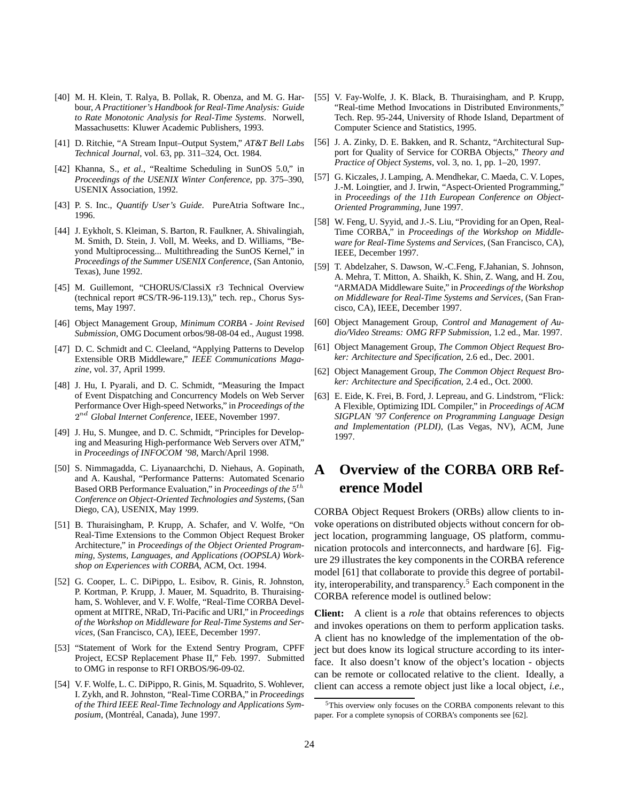- [40] M. H. Klein, T. Ralya, B. Pollak, R. Obenza, and M. G. Harbour, *A Practitioner's Handbook for Real-Time Analysis: Guide to Rate Monotonic Analysis for Real-Time Systems*. Norwell, Massachusetts: Kluwer Academic Publishers, 1993.
- [41] D. Ritchie, "A Stream Input–Output System," *AT&T Bell Labs Technical Journal*, vol. 63, pp. 311–324, Oct. 1984.
- [42] Khanna, S., *et al.*, "Realtime Scheduling in SunOS 5.0," in *Proceedings of the USENIX Winter Conference*, pp. 375–390, USENIX Association, 1992.
- [43] P. S. Inc., *Quantify User's Guide*. PureAtria Software Inc., 1996.
- [44] J. Eykholt, S. Kleiman, S. Barton, R. Faulkner, A. Shivalingiah, M. Smith, D. Stein, J. Voll, M. Weeks, and D. Williams, "Beyond Multiprocessing... Multithreading the SunOS Kernel," in *Proceedings of the Summer USENIX Conference*, (San Antonio, Texas), June 1992.
- [45] M. Guillemont, "CHORUS/ClassiX r3 Technical Overview (technical report #CS/TR-96-119.13)," tech. rep., Chorus Systems, May 1997.
- [46] Object Management Group, *Minimum CORBA Joint Revised Submission*, OMG Document orbos/98-08-04 ed., August 1998.
- [47] D. C. Schmidt and C. Cleeland, "Applying Patterns to Develop Extensible ORB Middleware," *IEEE Communications Magazine*, vol. 37, April 1999.
- [48] J. Hu, I. Pyarali, and D. C. Schmidt, "Measuring the Impact of Event Dispatching and Concurrency Models on Web Server Performance Over High-speed Networks," in *Proceedings of the* <sup>2</sup> nd *Global Internet Conference*, IEEE, November 1997.
- [49] J. Hu, S. Mungee, and D. C. Schmidt, "Principles for Developing and Measuring High-performance Web Servers over ATM," in *Proceedings of INFOCOM '98*, March/April 1998.
- [50] S. Nimmagadda, C. Liyanaarchchi, D. Niehaus, A. Gopinath, and A. Kaushal, "Performance Patterns: Automated Scenario Based ORB Performance Evaluation," in *Proceedings of the* 5<sup>th</sup> *Conference on Object-Oriented Technologies and Systems*, (San Diego, CA), USENIX, May 1999.
- [51] B. Thuraisingham, P. Krupp, A. Schafer, and V. Wolfe, "On Real-Time Extensions to the Common Object Request Broker Architecture," in *Proceedings of the Object Oriented Programming, Systems, Languages, and Applications (OOPSLA) Workshop on Experiences with CORBA*, ACM, Oct. 1994.
- [52] G. Cooper, L. C. DiPippo, L. Esibov, R. Ginis, R. Johnston, P. Kortman, P. Krupp, J. Mauer, M. Squadrito, B. Thuraisingham, S. Wohlever, and V. F. Wolfe, "Real-Time CORBA Development at MITRE, NRaD, Tri-Pacific and URI," in *Proceedings of the Workshop on Middleware for Real-Time Systems and Services*, (San Francisco, CA), IEEE, December 1997.
- [53] "Statement of Work for the Extend Sentry Program, CPFF Project, ECSP Replacement Phase II," Feb. 1997. Submitted to OMG in response to RFI ORBOS/96-09-02.
- [54] V. F. Wolfe, L. C. DiPippo, R. Ginis, M. Squadrito, S. Wohlever, I. Zykh, and R. Johnston, "Real-Time CORBA," in *Proceedings of the Third IEEE Real-Time Technology and Applications Symposium*, (Montréal, Canada), June 1997.
- [55] V. Fay-Wolfe, J. K. Black, B. Thuraisingham, and P. Krupp, "Real-time Method Invocations in Distributed Environments," Tech. Rep. 95-244, University of Rhode Island, Department of Computer Science and Statistics, 1995.
- [56] J. A. Zinky, D. E. Bakken, and R. Schantz, "Architectural Support for Quality of Service for CORBA Objects," *Theory and Practice of Object Systems*, vol. 3, no. 1, pp. 1–20, 1997.
- [57] G. Kiczales, J. Lamping, A. Mendhekar, C. Maeda, C. V. Lopes, J.-M. Loingtier, and J. Irwin, "Aspect-Oriented Programming," in *Proceedings of the 11th European Conference on Object-Oriented Programming*, June 1997.
- [58] W. Feng, U. Syyid, and J.-S. Liu, "Providing for an Open, Real-Time CORBA," in *Proceedings of the Workshop on Middleware for Real-Time Systems and Services*, (San Francisco, CA), IEEE, December 1997.
- [59] T. Abdelzaher, S. Dawson, W.-C.Feng, F.Jahanian, S. Johnson, A. Mehra, T. Mitton, A. Shaikh, K. Shin, Z. Wang, and H. Zou, "ARMADA Middleware Suite," in *Proceedings of the Workshop on Middleware for Real-Time Systems and Services*, (San Francisco, CA), IEEE, December 1997.
- [60] Object Management Group, *Control and Management of Audio/Video Streams: OMG RFP Submission*, 1.2 ed., Mar. 1997.
- [61] Object Management Group, *The Common Object Request Broker: Architecture and Specification*, 2.6 ed., Dec. 2001.
- [62] Object Management Group, *The Common Object Request Broker: Architecture and Specification*, 2.4 ed., Oct. 2000.
- [63] E. Eide, K. Frei, B. Ford, J. Lepreau, and G. Lindstrom, "Flick: A Flexible, Optimizing IDL Compiler," in *Proceedings of ACM SIGPLAN '97 Conference on Programming Language Design and Implementation (PLDI)*, (Las Vegas, NV), ACM, June 1997.

# **A Overview of the CORBA ORB Reference Model**

CORBA Object Request Brokers (ORBs) allow clients to invoke operations on distributed objects without concern for object location, programming language, OS platform, communication protocols and interconnects, and hardware [6]. Figure 29 illustrates the key components in the CORBA reference model [61] that collaborate to provide this degree of portability, interoperability, and transparency.<sup>5</sup> Each component in the CORBA reference model is outlined below:

**Client:** A client is a *role* that obtains references to objects and invokes operations on them to perform application tasks. A client has no knowledge of the implementation of the object but does know its logical structure according to its interface. It also doesn't know of the object's location - objects can be remote or collocated relative to the client. Ideally, a client can access a remote object just like a local object, *i.e.*,

<sup>&</sup>lt;sup>5</sup>This overview only focuses on the CORBA components relevant to this paper. For a complete synopsis of CORBA's components see [62].